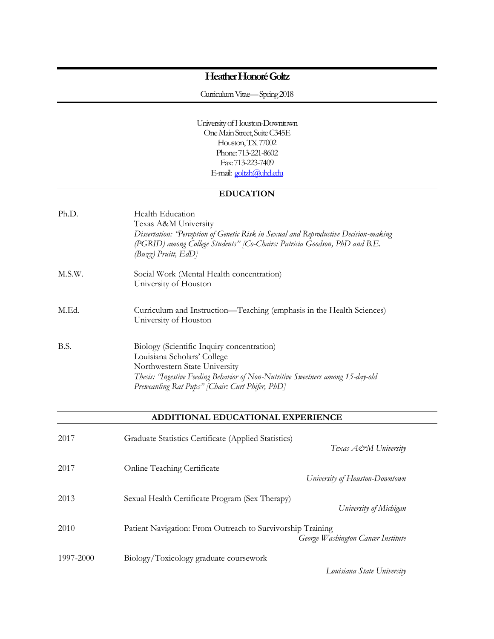# **Heather HonoréGoltz**

Curriculum Vitae—Spring 2018

University of Houston-Downtown One Main Street, Suite C345E Houston, TX 77002 Phone: 713-221-8602 Fax: 713-223-7409 E-mail: [goltzh@uhd.edu](mailto:goltzh@uhd.edu)

# **EDUCATION**

| Ph.D.  | Health Education<br>Texas A&M University<br>Dissertation: 'Perception of Genetic Risk in Sexual and Reproductive Decision-making<br>(PGRID) among College Students" [Co-Chairs: Patricia Goodson, PhD and B.E.<br>$(Buzz)$ Pruitt, $EdD$ ]       |
|--------|--------------------------------------------------------------------------------------------------------------------------------------------------------------------------------------------------------------------------------------------------|
| M.S.W. | Social Work (Mental Health concentration)<br>University of Houston                                                                                                                                                                               |
| M.Ed.  | Curriculum and Instruction—Teaching (emphasis in the Health Sciences)<br>University of Houston                                                                                                                                                   |
| B.S.   | Biology (Scientific Inquiry concentration)<br>Louisiana Scholars' College<br>Northwestern State University<br>Thesis: 'Ingestive Feeding Behavior of Non-Nutritive Sweetners among 15-day-old<br>Preweanling Rat Pups" [Chair: Curt Phifer, PhD] |

### **ADDITIONAL EDUCATIONAL EXPERIENCE**

| 2017      | Graduate Statistics Certificate (Applied Statistics)       | Texas A&M University               |
|-----------|------------------------------------------------------------|------------------------------------|
| 2017      | <b>Online Teaching Certificate</b>                         | University of Houston-Downtown     |
| 2013      | Sexual Health Certificate Program (Sex Therapy)            | University of Michigan             |
| 2010      | Patient Navigation: From Outreach to Survivorship Training | George Washington Cancer Institute |
| 1997-2000 | Biology/Toxicology graduate coursework                     | Louisiana State University         |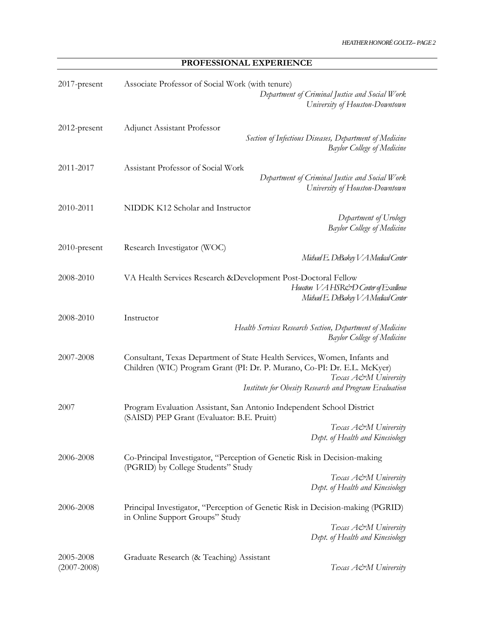**PROFESSIONAL EXPERIENCE**

| 2017-present                 | Associate Professor of Social Work (with tenure)<br>Department of Criminal Justice and Social Work<br>University of Houston-Downtown                                                                                                   |
|------------------------------|----------------------------------------------------------------------------------------------------------------------------------------------------------------------------------------------------------------------------------------|
| 2012-present                 | Adjunct Assistant Professor<br>Section of Infectious Diseases, Department of Medicine<br><b>Baylor College of Medicine</b>                                                                                                             |
| 2011-2017                    | Assistant Professor of Social Work<br>Department of Criminal Justice and Social Work<br>University of Houston-Downtown                                                                                                                 |
| 2010-2011                    | NIDDK K12 Scholar and Instructor<br>Department of Urology<br><b>Baylor College of Medicine</b>                                                                                                                                         |
| 2010-present                 | Research Investigator (WOC)<br>Midsael E. DeBakey V A Medical Center                                                                                                                                                                   |
| 2008-2010                    | VA Health Services Research & Development Post-Doctoral Fellow<br>Houston VAHSR&D Center of Excellence<br>Michael E. DeBakey V A Medical Center                                                                                        |
| 2008-2010                    | Instructor<br>Health Services Research Section, Department of Medicine<br><b>Baylor College of Medicine</b>                                                                                                                            |
| 2007-2008                    | Consultant, Texas Department of State Health Services, Women, Infants and<br>Children (WIC) Program Grant (PI: Dr. P. Murano, Co-PI: Dr. E.L. McKyer)<br>Texas A&M University<br>Institute for Obesity Research and Program Evaluation |
| 2007                         | Program Evaluation Assistant, San Antonio Independent School District<br>(SAISD) PEP Grant (Evaluator: B.E. Pruitt)<br>Texas A&M University<br>Dept. of Health and Kinesiology                                                         |
| 2006-2008                    | Co-Principal Investigator, "Perception of Genetic Risk in Decision-making<br>(PGRID) by College Students" Study<br>Texas A&M University<br>Dept. of Health and Kinesiology                                                             |
| 2006-2008                    | Principal Investigator, "Perception of Genetic Risk in Decision-making (PGRID)<br>in Online Support Groups" Study<br>Texas A&M University<br>Dept. of Health and Kinesiology                                                           |
| 2005-2008<br>$(2007 - 2008)$ | Graduate Research (& Teaching) Assistant<br>Texas A&M University                                                                                                                                                                       |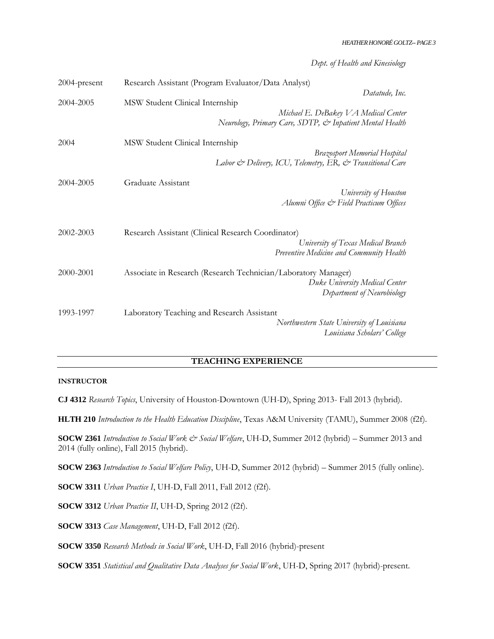*Dept. of Health and Kinesiology*

| 2004-present | Research Assistant (Program Evaluator/Data Analyst)                                              |
|--------------|--------------------------------------------------------------------------------------------------|
|              | Datatude, Inc.                                                                                   |
| 2004-2005    | MSW Student Clinical Internship                                                                  |
|              | Michael E. DeBakey VA Medical Center<br>Neurology, Primary Care, SDTP, & Inpatient Mental Health |
| 2004         | MSW Student Clinical Internship                                                                  |
|              | <b>Brazosport Memorial Hospital</b>                                                              |
|              | Labor & Delivery, ICU, Telemetry, ER, & Transitional Care                                        |
| 2004-2005    | Graduate Assistant                                                                               |
|              | University of Houston                                                                            |
|              | Alumni Office & Field Practicum Offices                                                          |
| 2002-2003    | Research Assistant (Clinical Research Coordinator)                                               |
|              | University of Texas Medical Branch                                                               |
|              | Preventive Medicine and Community Health                                                         |
| 2000-2001    | Associate in Research (Research Technician/Laboratory Manager)                                   |
|              | Duke University Medical Center                                                                   |
|              | Department of Neurobiology                                                                       |
| 1993-1997    | Laboratory Teaching and Research Assistant                                                       |
|              | Northwestern State University of Louisiana<br>Louisiana Scholars' College                        |

### **TEACHING EXPERIENCE**

#### **INSTRUCTOR**

**CJ 4312** *Research Topics*, University of Houston-Downtown (UH-D), Spring 2013- Fall 2013 (hybrid).

**HLTH 210** *Introduction to the Health Education Discipline*, Texas A&M University (TAMU), Summer 2008 (f2f).

**SOCW 2361** *Introduction to Social Work & Social Welfare*, UH-D, Summer 2012 (hybrid) – Summer 2013 and 2014 (fully online), Fall 2015 (hybrid).

**SOCW 2363** *Introduction to Social Welfare Policy*, UH-D, Summer 2012 (hybrid) – Summer 2015 (fully online).

**SOCW 3311** *Urban Practice I*, UH-D, Fall 2011, Fall 2012 (f2f).

**SOCW 3312** *Urban Practice II*, UH-D, Spring 2012 (f2f).

**SOCW 3313** *Case Management*, UH-D, Fall 2012 (f2f).

**SOCW 3350** *Research Methods in Social Work*, UH-D, Fall 2016 (hybrid)-present

**SOCW 3351** *Statistical and Qualitative Data Analyses for Social Work*, UH-D, Spring 2017 (hybrid)-present.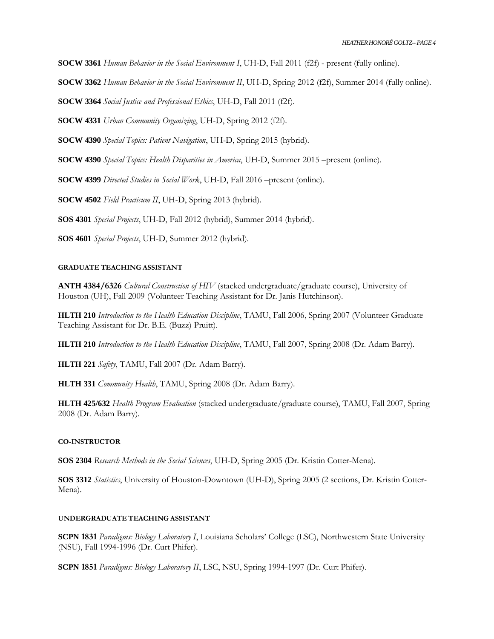**SOCW 3361** *Human Behavior in the Social Environment I*, UH-D, Fall 2011 (f2f) - present (fully online).

**SOCW 3362** *Human Behavior in the Social Environment II*, UH-D, Spring 2012 (f2f), Summer 2014 (fully online).

**SOCW 3364** *Social Justice and Professional Ethics*, UH-D, Fall 2011 (f2f).

**SOCW 4331** *Urban Community Organizing*, UH-D, Spring 2012 (f2f).

**SOCW 4390** *Special Topics: Patient Navigation*, UH-D, Spring 2015 (hybrid).

**SOCW 4390** *Special Topics: Health Disparities in America*, UH-D, Summer 2015 –present (online).

**SOCW 4399** *Directed Studies in Social Work*, UH-D, Fall 2016 –present (online).

**SOCW 4502** *Field Practicum II*, UH-D, Spring 2013 (hybrid).

**SOS 4301** *Special Projects*, UH-D, Fall 2012 (hybrid), Summer 2014 (hybrid).

**SOS 4601** *Special Projects*, UH-D, Summer 2012 (hybrid).

# **GRADUATE TEACHING ASSISTANT**

**ANTH 4384/6326** *Cultural Construction of HIV* (stacked undergraduate/graduate course), University of Houston (UH), Fall 2009 (Volunteer Teaching Assistant for Dr. Janis Hutchinson).

**HLTH 210** *Introduction to the Health Education Discipline*, TAMU, Fall 2006, Spring 2007 (Volunteer Graduate Teaching Assistant for Dr. B.E. (Buzz) Pruitt).

**HLTH 210** *Introduction to the Health Education Discipline*, TAMU, Fall 2007, Spring 2008 (Dr. Adam Barry).

**HLTH 221** *Safety*, TAMU, Fall 2007 (Dr. Adam Barry).

**HLTH 331** *Community Health*, TAMU, Spring 2008 (Dr. Adam Barry).

**HLTH 425/632** *Health Program Evaluation* (stacked undergraduate/graduate course), TAMU, Fall 2007, Spring 2008 (Dr. Adam Barry).

#### **CO-INSTRUCTOR**

**SOS 2304** *Research Methods in the Social Sciences*, UH-D, Spring 2005 (Dr. Kristin Cotter-Mena).

**SOS 3312** *Statistics*, University of Houston-Downtown (UH-D), Spring 2005 (2 sections, Dr. Kristin Cotter-Mena).

### **UNDERGRADUATE TEACHING ASSISTANT**

**SCPN 1831** *Paradigms: Biology Laboratory I*, Louisiana Scholars' College (LSC), Northwestern State University (NSU), Fall 1994-1996 (Dr. Curt Phifer).

**SCPN 1851** *Paradigms: Biology Laboratory II*, LSC, NSU, Spring 1994-1997 (Dr. Curt Phifer).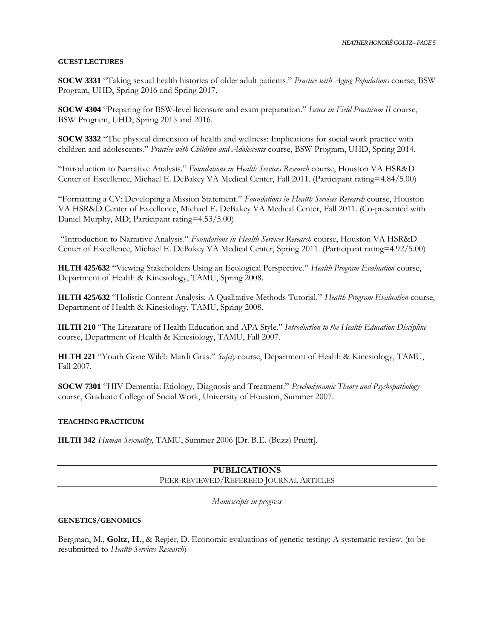#### **GUEST LECTURES**

**SOCW 3331** "Taking sexual health histories of older adult patients." *Practice with Aging Populations* course, BSW Program, UHD, Spring 2016 and Spring 2017.

**SOCW 4304** "Preparing for BSW-level licensure and exam preparation." *Issues in Field Practicum II* course, BSW Program, UHD, Spring 2015 and 2016.

**SOCW 3332** "The physical dimension of health and wellness: Implications for social work practice with children and adolescents." *Practice with Children and Adolescents* course, BSW Program, UHD, Spring 2014.

"Introduction to Narrative Analysis." *Foundations in Health Services Research* course, Houston VA HSR&D Center of Excellence, Michael E. DeBakey VA Medical Center, Fall 2011. (Participant rating=4.84/5.00)

"Formatting a CV: Developing a Mission Statement." *Foundations in Health Services Research* course, Houston VA HSR&D Center of Excellence, Michael E. DeBakey VA Medical Center, Fall 2011. (Co-presented with Daniel Murphy, MD; Participant rating=4.53/5.00)

"Introduction to Narrative Analysis." *Foundations in Health Services Research* course, Houston VA HSR&D Center of Excellence, Michael E. DeBakey VA Medical Center, Spring 2011. (Participant rating=4.92/5.00)

**HLTH 425/632** "Viewing Stakeholders Using an Ecological Perspective." *Health Program Evaluation* course, Department of Health & Kinesiology, TAMU, Spring 2008.

**HLTH 425/632** "Holistic Content Analysis: A Qualitative Methods Tutorial." *Health Program Evaluation* course, Department of Health & Kinesiology, TAMU, Spring 2008.

**HLTH 210** "The Literature of Health Education and APA Style." *Introduction to the Health Education Discipline* course, Department of Health & Kinesiology, TAMU, Fall 2007.

**HLTH 221** "Youth Gone Wild!: Mardi Gras." *Safety* course, Department of Health & Kinesiology, TAMU, Fall 2007.

**SOCW 7301** "HIV Dementia: Etiology, Diagnosis and Treatment." *Psychodynamic Theory and Psychopathology* course, Graduate College of Social Work, University of Houston, Summer 2007.

#### **TEACHING PRACTICUM**

**HLTH 342** *Human Sexuality*, TAMU, Summer 2006 [Dr. B.E. (Buzz) Pruitt].

### **PUBLICATIONS** PEER-REVIEWED/REFEREED JOURNAL ARTICLES

*Manuscripts in progress*

#### **GENETICS/GENOMICS**

Bergman, M., **Goltz, H.**, & Regier, D. Economic evaluations of genetic testing: A systematic review. (to be resubmitted to *Health Services Research*)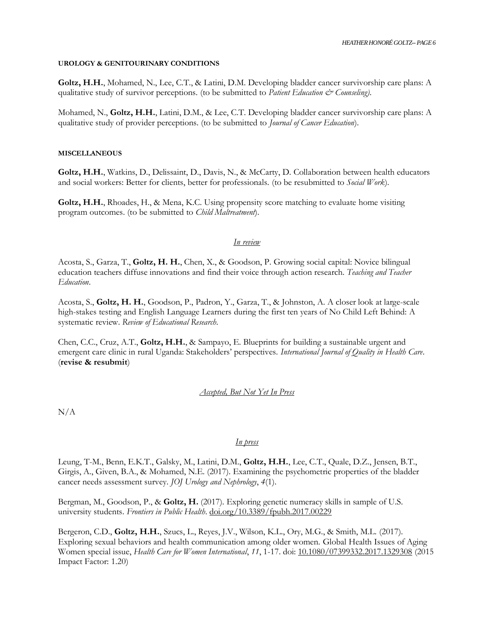#### **UROLOGY & GENITOURINARY CONDITIONS**

**Goltz, H.H.**, Mohamed, N., Lee, C.T., & Latini, D.M. Developing bladder cancer survivorship care plans: A qualitative study of survivor perceptions. (to be submitted to *Patient Education & Counseling)*.

Mohamed, N., **Goltz, H.H.**, Latini, D.M., & Lee, C.T. Developing bladder cancer survivorship care plans: A qualitative study of provider perceptions. (to be submitted to *Journal of Cancer Education*).

#### **MISCELLANEOUS**

**Goltz, H.H.**, Watkins, D., Delissaint, D., Davis, N., & McCarty, D. Collaboration between health educators and social workers: Better for clients, better for professionals. (to be resubmitted to *Social Work*).

**Goltz, H.H.**, Rhoades, H., & Mena, K.C. Using propensity score matching to evaluate home visiting program outcomes. (to be submitted to *Child Maltreatment*).

#### *In review*

Acosta, S., Garza, T., **Goltz, H. H.**, Chen, X., & Goodson, P. Growing social capital: Novice bilingual education teachers diffuse innovations and find their voice through action research. *Teaching and Teacher Education*.

Acosta, S., **Goltz, H. H.**, Goodson, P., Padron, Y., Garza, T., & Johnston, A. A closer look at large-scale high-stakes testing and English Language Learners during the first ten years of No Child Left Behind: A systematic review. *Review of Educational Research*.

Chen, C.C., Cruz, A.T., **Goltz, H.H.**, & Sampayo, E. Blueprints for building a sustainable urgent and emergent care clinic in rural Uganda: Stakeholders' perspectives. *International Journal of Quality in Health Care*. (**revise & resubmit**)

#### *Accepted, But Not Yet In Press*

N/A

#### *In press*

Leung, T-M., Benn, E.K.T., Galsky, M., Latini, D.M., **Goltz, H.H.**, Lee, C.T., Quale, D.Z., Jensen, B.T., Girgis, A., Given, B.A., & Mohamed, N.E. (2017). Examining the psychometric properties of the bladder cancer needs assessment survey. *JOJ Urology and Nephrology*, *4*(1).

Bergman, M., Goodson, P., & **Goltz, H.** (2017). Exploring genetic numeracy skills in sample of U.S. university students. *Frontiers in Public Health*. [doi.org/10.3389/fpubh.2017.00229](https://doi.org/10.3389/fpubh.2017.00229)

Bergeron, C.D., **Goltz, H.H.**, Szucs, L., Reyes, J.V., Wilson, K.L., Ory, M.G., & Smith, M.L. (2017). Exploring sexual behaviors and health communication among older women. Global Health Issues of Aging Women special issue, *Health Care for Women International*, *11*, 1-17. doi: [10.1080/07399332.2017.1329308](http://dx.doi.org/10.1080/07399332.2017.1329308) (2015 Impact Factor: 1.20)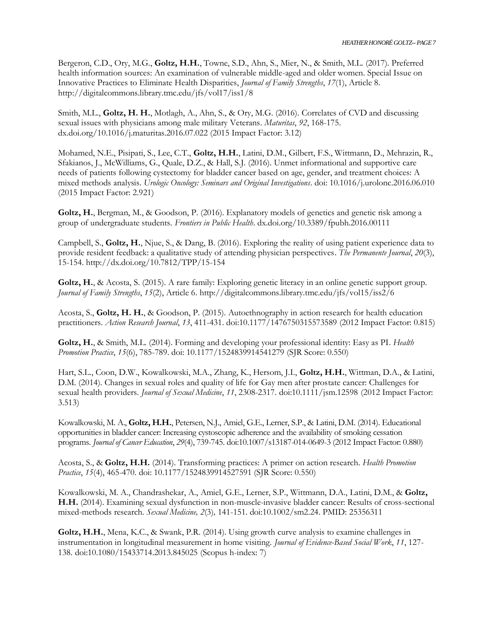Bergeron, C.D., Ory, M.G., **Goltz, H.H.**, Towne, S.D., Ahn, S., Mier, N., & Smith, M.L. (2017). Preferred health information sources: An examination of vulnerable middle-aged and older women. Special Issue on Innovative Practices to Eliminate Health Disparities, *Journal of Family Strengths*, *17*(1), Article 8. http://digitalcommons.library.tmc.edu/jfs/vol17/iss1/8

Smith, M.L., **Goltz, H. H.**, Motlagh, A., Ahn, S., & Ory, M.G. (2016). Correlates of CVD and discussing sexual issues with physicians among male military Veterans. *Maturitas*, *92*, 168-175. dx.doi.org/10.1016/j.maturitas.2016.07.022 (2015 Impact Factor: 3.12)

Mohamed, N.E., Pisipati, S., Lee, C.T., **Goltz, H.H.**, Latini, D.M., Gilbert, F.S., Wittmann, D., Mehrazin, R., Sfakianos, J., McWilliams, G., Quale, D.Z., & Hall, S.J. (2016). Unmet informational and supportive care needs of patients following cystectomy for bladder cancer based on age, gender, and treatment choices: A mixed methods analysis. *Urologic Oncology: Seminars and Original Investigations*. doi: 10.1016/j.urolonc.2016.06.010 (2015 Impact Factor: 2.921)

**Goltz, H.**, Bergman, M., & Goodson, P. (2016). Explanatory models of genetics and genetic risk among a group of undergraduate students. *Frontiers in Public Health*. dx.doi.org/10.3389/fpubh.2016.00111

Campbell, S., **Goltz, H.**, Njue, S., & Dang, B. (2016). Exploring the reality of using patient experience data to provide resident feedback: a qualitative study of attending physician perspectives. *The Permanente Journal*, *20*(3), 15-154. http://dx.doi.org/10.7812/TPP/15-154

Goltz, H., & Acosta, S. (2015). A rare family: Exploring genetic literacy in an online genetic support group. *Journal of Family Strengths*, *15*(2), Article 6. http://digitalcommons.library.tmc.edu/jfs/vol15/iss2/6

Acosta, S., **Goltz, H. H.**, & Goodson, P. (2015). Autoethnography in action research for health education practitioners. *Action Research Journal*, *13*, 411-431. doi:10.1177/1476750315573589 (2012 Impact Factor: 0.815)

**Goltz, H.**, & Smith, M.L. (2014). Forming and developing your professional identity: Easy as PI. *Health Promotion Practice*, *15*(6), 785-789. doi: 10.1177/1524839914541279 (SJR Score: 0.550)

Hart, S.L., Coon, D.W., Kowalkowski, M.A., Zhang, K., Hersom, J.I., **Goltz, H.H.**, Wittman, D.A., & Latini, D.M. (2014). Changes in sexual roles and quality of life for Gay men after prostate cancer: Challenges for sexual health providers. *Journal of Sexual Medicine*, *11*, 2308-2317. doi:10.1111/jsm.12598 (2012 Impact Factor: 3.513)

Kowalkowski, M. A., **Goltz, H.H.**, Petersen, N.J., Amiel, G.E., Lerner, S.P., & Latini, D.M. (2014). Educational opportunities in bladder cancer: Increasing cystoscopic adherence and the availability of smoking cessation programs. *Journal of Cancer Education*, *29*(4), 739-745. doi:10.1007/s13187-014-0649-3 (2012 Impact Factor: 0.880)

Acosta, S., & **Goltz, H.H.** (2014). Transforming practices: A primer on action research. *Health Promotion Practice*, *15*(4), 465-470. doi: 10.1177/1524839914527591 (SJR Score: 0.550)

Kowalkowski, M. A., Chandrashekar, A., Amiel, G.E., Lerner, S.P., Wittmann, D.A., Latini, D.M., & **Goltz, H.H.** (2014). Examining sexual dysfunction in non-muscle-invasive bladder cancer: Results of cross-sectional mixed-methods research. *Sexual Medicine, 2*(3)*,* 141-151*.* doi:10.1002/sm2.24. PMID: 25356311

Goltz, H.H., Mena, K.C., & Swank, P.R. (2014). Using growth curve analysis to examine challenges in instrumentation in longitudinal measurement in home visiting. *Journal of Evidence-Based Social Work*, *11*, 127- 138. doi:10.1080/15433714.2013.845025 (Scopus h-index: 7)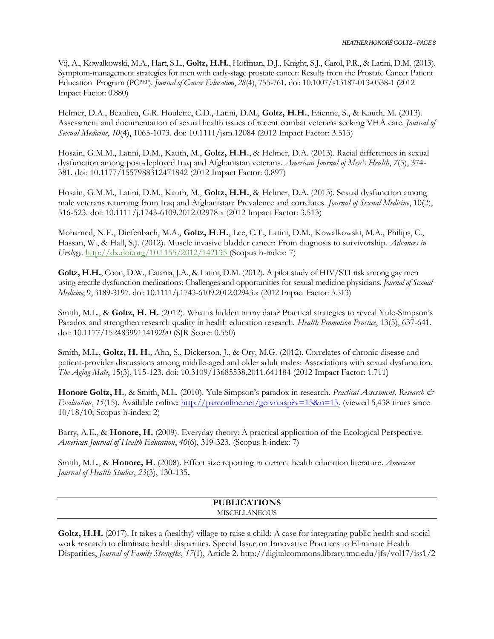Vij, A., Kowalkowski, M.A., Hart, S.L., **Goltz, H.H.**, Hoffman, D.J., Knight, S.J., Carol, P.R., & Latini, D.M. (2013). Symptom-management strategies for men with early-stage prostate cancer: Results from the Prostate Cancer Patient Education Program (PCPEP). *Journal of Cancer Education*, *28*(4), 755-761. doi: 10.1007/s13187-013-0538-1 (2012 Impact Factor: 0.880)

Helmer, D.A., Beaulieu, G.R. Houlette, C.D., Latini, D.M., **Goltz, H.H.**, Etienne, S., & Kauth, M. (2013). Assessment and documentation of sexual health issues of recent combat veterans seeking VHA care. *Journal of Sexual Medicine*, *10*(4), 1065-1073. doi: 10.1111/jsm.12084 (2012 Impact Factor: 3.513)

Hosain, G.M.M., Latini, D.M., Kauth, M., **Goltz, H.H.**, & Helmer, D.A. (2013). Racial differences in sexual dysfunction among post-deployed Iraq and Afghanistan veterans. *American Journal of Men's Health*, *7*(5), 374- 381. doi: 10.1177/1557988312471842 (2012 Impact Factor: 0.897)

Hosain, G.M.M., Latini, D.M., Kauth, M., **Goltz, H.H.**, & Helmer, D.A. (2013). Sexual dysfunction among male veterans returning from Iraq and Afghanistan: Prevalence and correlates. *Journal of Sexual Medicine*, 10(2), 516-523. doi: 10.1111/j.1743-6109.2012.02978.x (2012 Impact Factor: 3.513)

Mohamed, N.E., Diefenbach, M.A., **Goltz, H.H.**, Lee, C.T., Latini, D.M., Kowalkowski, M.A., Philips, C., Hassan, W., & Hall, S.J. (2012). Muscle invasive bladder cancer: From diagnosis to survivorship. *Advances in Urology*.<http://dx.doi.org/10.1155/2012/142135> (Scopus h-index: 7)

Goltz, H.H., Coon, D.W., Catania, J.A., & Latini, D.M. (2012). A pilot study of HIV/STI risk among gay men using erectile dysfunction medications: Challenges and opportunities for sexual medicine physicians. *Journal of Sexual Medicine*, 9, 3189-3197. doi: 10.1111/j.1743-6109.2012.02943.x (2012 Impact Factor: 3.513)

Smith, M.L., & **Goltz, H. H.** (2012). What is hidden in my data? Practical strategies to reveal Yule-Simpson's Paradox and strengthen research quality in health education research. *Health Promotion Practice*, 13(5), 637-641. doi: 10.1177/1524839911419290 (SJR Score: 0.550)

Smith, M.L., **Goltz, H. H.**, Ahn, S., Dickerson, J., & Ory, M.G. (2012). Correlates of chronic disease and patient-provider discussions among middle-aged and older adult males: Associations with sexual dysfunction. *The Aging Male*, 15(3), 115-123. doi: 10.3109/13685538.2011.641184 (2012 Impact Factor: 1.711)

**Honore Goltz, H.**, & Smith, M.L. (2010). Yule Simpson's paradox in research. *Practical Assessment, Research & Evaluation*, 15(15). Available online:<http://pareonline.net/getvn.asp?v=15&n=15>. (viewed 5,438 times since 10/18/10; Scopus h-index: 2)

Barry, A.E., & **Honore, H.** (2009). Everyday theory: A practical application of the Ecological Perspective. *American Journal of Health Education*, *40*(6), 319-323. (Scopus h-index: 7)

Smith, M.L., & **Honore, H.** (2008). Effect size reporting in current health education literature. *American Journal of Health Studies*, *23*(3), 130-135**.** 

### **PUBLICATIONS MISCELLANEOUS**

Goltz, H.H. (2017). It takes a (healthy) village to raise a child: A case for integrating public health and social work research to eliminate health disparities. Special Issue on Innovative Practices to Eliminate Health Disparities, *Journal of Family Strengths*, *17*(1), Article 2. http://digitalcommons.library.tmc.edu/jfs/vol17/iss1/2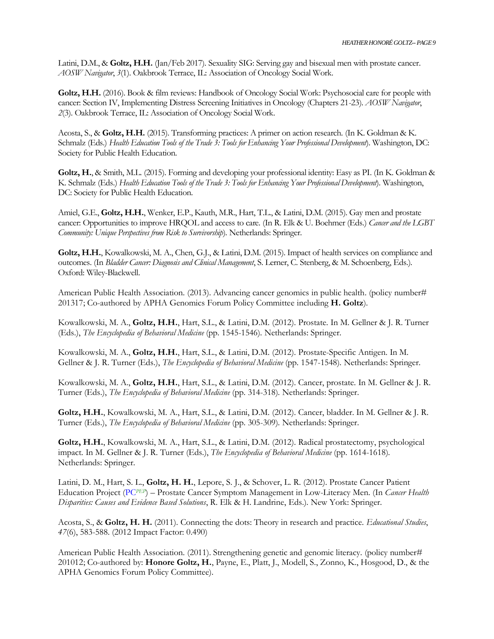Latini, D.M., & **Goltz, H.H.** (Jan/Feb 2017). Sexuality SIG: Serving gay and bisexual men with prostate cancer. *AOSW Navigator*, *3*(1). Oakbrook Terrace, IL: Association of Oncology Social Work.

**Goltz, H.H.** (2016). Book & film reviews: Handbook of Oncology Social Work: Psychosocial care for people with cancer: Section IV, Implementing Distress Screening Initiatives in Oncology (Chapters 21-23). *AOSW Navigator*, *2*(3). Oakbrook Terrace, IL: Association of Oncology Social Work.

Acosta, S., & **Goltz, H.H.** (2015). Transforming practices: A primer on action research. (In K. Goldman & K. Schmalz (Eds.) *Health Education Tools of the Trade 3: Tools for Enhancing Your Professional Development*). Washington, DC: Society for Public Health Education.

**Goltz, H.**, & Smith, M.L. (2015). Forming and developing your professional identity: Easy as PI. (In K. Goldman & K. Schmalz (Eds.) *Health Education Tools of the Trade 3: Tools for Enhancing Your Professional Development*). Washington, DC: Society for Public Health Education.

Amiel, G.E., **Goltz, H.H.**, Wenker, E.P., Kauth, M.R., Hart, T.L., & Latini, D.M. (2015). Gay men and prostate cancer: Opportunities to improve HRQOL and access to care. (In R. Elk & U. Boehmer (Eds.) *Cancer and the LGBT Community: Unique Perspectives from Risk to Survivorship*)*.* Netherlands: Springer.

**Goltz, H.H.**, Kowalkowski, M. A., Chen, G.J., & Latini, D.M. (2015). Impact of health services on compliance and outcomes. (In *Bladder Cancer: Diagnosis and Clinical Management*, S. Lerner, C. Stenberg, & M. Schoenberg, Eds.)*.*  Oxford: Wiley-Blackwell.

American Public Health Association. (2013). Advancing cancer genomics in public health. (policy number# 201317; Co-authored by APHA Genomics Forum Policy Committee including **H. Goltz**).

Kowalkowski, M. A., **Goltz, H.H.**, Hart, S.L., & Latini, D.M. (2012). Prostate. In M. Gellner & J. R. Turner (Eds.), *The Encyclopedia of Behavioral Medicine* (pp. 1545-1546)*.* Netherlands: Springer.

Kowalkowski, M. A., **Goltz, H.H.**, Hart, S.L., & Latini, D.M. (2012). Prostate-Specific Antigen. In M. Gellner & J. R. Turner (Eds.), *The Encyclopedia of Behavioral Medicine* (pp. 1547-1548)*.* Netherlands: Springer.

Kowalkowski, M. A., **Goltz, H.H.**, Hart, S.L., & Latini, D.M. (2012). Cancer, prostate. In M. Gellner & J. R. Turner (Eds.), *The Encyclopedia of Behavioral Medicine* (pp. 314-318)*.* Netherlands: Springer.

**Goltz, H.H.**, Kowalkowski, M. A., Hart, S.L., & Latini, D.M. (2012). Cancer, bladder. In M. Gellner & J. R. Turner (Eds.), *The Encyclopedia of Behavioral Medicine* (pp. 305-309)*.* Netherlands: Springer.

**Goltz, H.H.**, Kowalkowski, M. A., Hart, S.L., & Latini, D.M. (2012). Radical prostatectomy, psychological impact. In M. Gellner & J. R. Turner (Eds.), *The Encyclopedia of Behavioral Medicine* (pp. 1614-1618)*.*  Netherlands: Springer.

Latini, D. M., Hart, S. L., **Goltz, H. H.**, Lepore, S. J., & Schover, L. R. (2012). Prostate Cancer Patient Education Project (PC*PEP*) – Prostate Cancer Symptom Management in Low-Literacy Men. (In *Cancer Health Disparities: Causes and Evidence Based Solutions*, R. Elk & H. Landrine, Eds.)*.* New York: Springer.

Acosta, S., & **Goltz, H. H.** (2011). Connecting the dots: Theory in research and practice. *Educational Studies*, *47*(6), 583-588. (2012 Impact Factor: 0.490)

American Public Health Association. (2011). Strengthening genetic and genomic literacy. (policy number# 201012; Co-authored by: **Honore Goltz, H.**, Payne, E., Platt, J., Modell, S., Zonno, K., Hosgood, D., & the APHA Genomics Forum Policy Committee).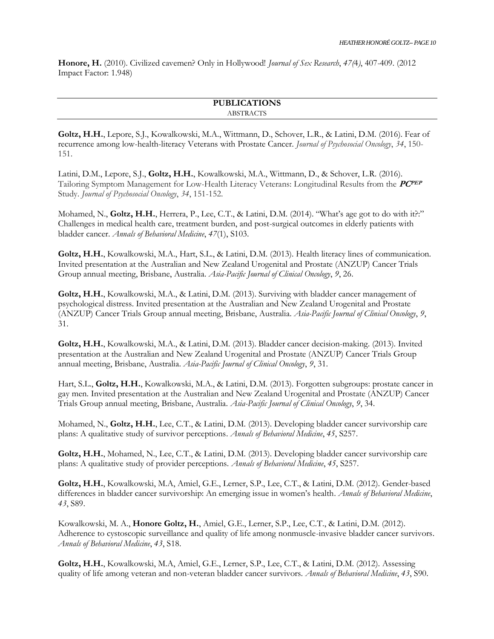**Honore, H.** (2010). Civilized cavemen? Only in Hollywood! *Journal of Sex Research*, *47(*4*)*, 407-409. (2012 Impact Factor: 1.948)

### **PUBLICATIONS** ABSTRACTS

**Goltz, H.H.**, Lepore, S.J., Kowalkowski, M.A., Wittmann, D., Schover, L.R., & Latini, D.M. (2016). Fear of recurrence among low-health-literacy Veterans with Prostate Cancer. *Journal of Psychosocial Oncology*, *34*, 150- 151.

Latini, D.M., Lepore, S.J., **Goltz, H.H.**, Kowalkowski, M.A., Wittmann, D., & Schover, L.R. (2016). Tailoring Symptom Management for Low-Health Literacy Veterans: Longitudinal Results from the **PCPEP** Study. *Journal of Psychosocial Oncology*, *34*, 151-152.

Mohamed, N., **Goltz, H.H.**, Herrera, P., Lee, C.T., & Latini, D.M. (2014). "What's age got to do with it?:" Challenges in medical health care, treatment burden, and post-surgical outcomes in elderly patients with bladder cancer. *Annals of Behavioral Medicine*, *47*(1), S103.

**Goltz, H.H.**, Kowalkowski, M.A., Hart, S.L., & Latini, D.M. (2013). Health literacy lines of communication. Invited presentation at the Australian and New Zealand Urogenital and Prostate (ANZUP) Cancer Trials Group annual meeting, Brisbane, Australia. *Asia-Pacific Journal of Clinical Oncology*, *9*, 26.

**Goltz, H.H.**, Kowalkowski, M.A., & Latini, D.M. (2013). Surviving with bladder cancer management of psychological distress. Invited presentation at the Australian and New Zealand Urogenital and Prostate (ANZUP) Cancer Trials Group annual meeting, Brisbane, Australia. *Asia-Pacific Journal of Clinical Oncology*, *9*, 31.

**Goltz, H.H.**, Kowalkowski, M.A., & Latini, D.M. (2013). Bladder cancer decision-making. (2013). Invited presentation at the Australian and New Zealand Urogenital and Prostate (ANZUP) Cancer Trials Group annual meeting, Brisbane, Australia. *Asia-Pacific Journal of Clinical Oncology*, *9*, 31.

Hart, S.L., **Goltz, H.H.**, Kowalkowski, M.A., & Latini, D.M. (2013). Forgotten subgroups: prostate cancer in gay men. Invited presentation at the Australian and New Zealand Urogenital and Prostate (ANZUP) Cancer Trials Group annual meeting, Brisbane, Australia. *Asia-Pacific Journal of Clinical Oncology*, *9*, 34.

Mohamed, N., **Goltz, H.H.**, Lee, C.T., & Latini, D.M. (2013). Developing bladder cancer survivorship care plans: A qualitative study of survivor perceptions. *Annals of Behavioral Medicine*, *45*, S257.

**Goltz, H.H.**, Mohamed, N., Lee, C.T., & Latini, D.M. (2013). Developing bladder cancer survivorship care plans: A qualitative study of provider perceptions. *Annals of Behavioral Medicine*, *45*, S257.

**Goltz, H.H.**, Kowalkowski, M.A, Amiel, G.E., Lerner, S.P., Lee, C.T., & Latini, D.M. (2012). Gender-based differences in bladder cancer survivorship: An emerging issue in women's health. *Annals of Behavioral Medicine*, *43*, S89.

Kowalkowski, M. A., **Honore Goltz, H.**, Amiel, G.E., Lerner, S.P., Lee, C.T., & Latini, D.M. (2012). Adherence to cystoscopic surveillance and quality of life among nonmuscle-invasive bladder cancer survivors. *Annals of Behavioral Medicine*, *43*, S18.

Goltz, H.H., Kowalkowski, M.A, Amiel, G.E., Lerner, S.P., Lee, C.T., & Latini, D.M. (2012). Assessing quality of life among veteran and non-veteran bladder cancer survivors. *Annals of Behavioral Medicine*, *43*, S90.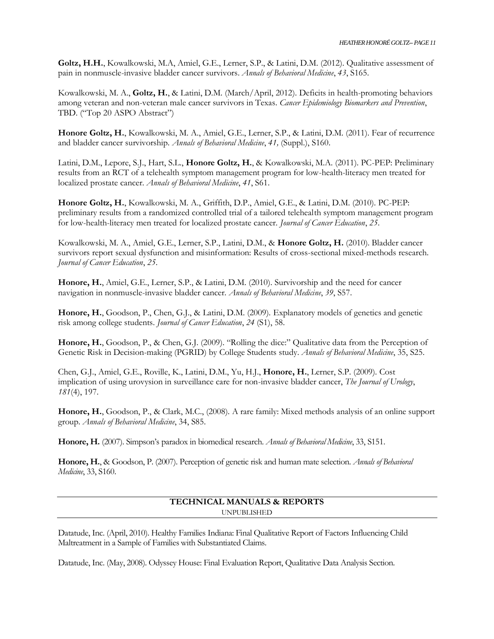**Goltz, H.H.**, Kowalkowski, M.A, Amiel, G.E., Lerner, S.P., & Latini, D.M. (2012). Qualitative assessment of pain in nonmuscle-invasive bladder cancer survivors. *Annals of Behavioral Medicine*, *43*, S165.

Kowalkowski, M. A., **Goltz, H.**, & Latini, D.M. (March/April, 2012). Deficits in health-promoting behaviors among veteran and non-veteran male cancer survivors in Texas. *Cancer Epidemiology Biomarkers and Prevention*, TBD. ("Top 20 ASPO Abstract")

**Honore Goltz, H.**, Kowalkowski, M. A., Amiel, G.E., Lerner, S.P., & Latini, D.M. (2011). Fear of recurrence and bladder cancer survivorship. *Annals of Behavioral Medicine*, *41,* (Suppl.), S160.

Latini, D.M., Lepore, S.J., Hart, S.L., **Honore Goltz, H.**, & Kowalkowski, M.A. (2011). PC-PEP: Preliminary results from an RCT of a telehealth symptom management program for low-health-literacy men treated for localized prostate cancer. *Annals of Behavioral Medicine*, *41*, S61.

**Honore Goltz, H.**, Kowalkowski, M. A., Griffith, D.P., Amiel, G.E., & Latini, D.M. (2010). PC-PEP: preliminary results from a randomized controlled trial of a tailored telehealth symptom management program for low-health-literacy men treated for localized prostate cancer. *Journal of Cancer Education*, *25*.

Kowalkowski, M. A., Amiel, G.E., Lerner, S.P., Latini, D.M., & **Honore Goltz, H.** (2010). Bladder cancer survivors report sexual dysfunction and misinformation: Results of cross-sectional mixed-methods research. *Journal of Cancer Education*, *25*.

**Honore, H.**, Amiel, G.E., Lerner, S.P., & Latini, D.M. (2010). Survivorship and the need for cancer navigation in nonmuscle-invasive bladder cancer. *Annals of Behavioral Medicine*, *39*, S57.

**Honore, H.**, Goodson, P., Chen, G.J., & Latini, D.M. (2009). Explanatory models of genetics and genetic risk among college students. *Journal of Cancer Education*, *24* (S1), 58.

**Honore, H.**, Goodson, P., & Chen, G.J. (2009). "Rolling the dice:" Qualitative data from the Perception of Genetic Risk in Decision-making (PGRID) by College Students study. *Annals of Behavioral Medicine*, 35, S25.

Chen, G.J., Amiel, G.E., Roville, K., Latini, D.M., Yu, H.J., **Honore, H.**, Lerner, S.P. (2009). Cost implication of using urovysion in surveillance care for non-invasive bladder cancer, *The Journal of Urology*, *181*(4), 197.

**Honore, H.**, Goodson, P., & Clark, M.C., (2008). A rare family: Mixed methods analysis of an online support group. *Annals of Behavioral Medicine*, 34, S85.

**Honore, H.** (2007). Simpson's paradox in biomedical research. *Annals of Behavioral Medicine*, 33, S151.

**Honore, H.**, & Goodson, P. (2007). Perception of genetic risk and human mate selection. *Annals of Behavioral Medicine*, 33, S160.

# **TECHNICAL MANUALS & REPORTS** UNPUBLISHED

Datatude, Inc. (April, 2010). Healthy Families Indiana: Final Qualitative Report of Factors Influencing Child Maltreatment in a Sample of Families with Substantiated Claims.

Datatude, Inc. (May, 2008). Odyssey House: Final Evaluation Report, Qualitative Data Analysis Section.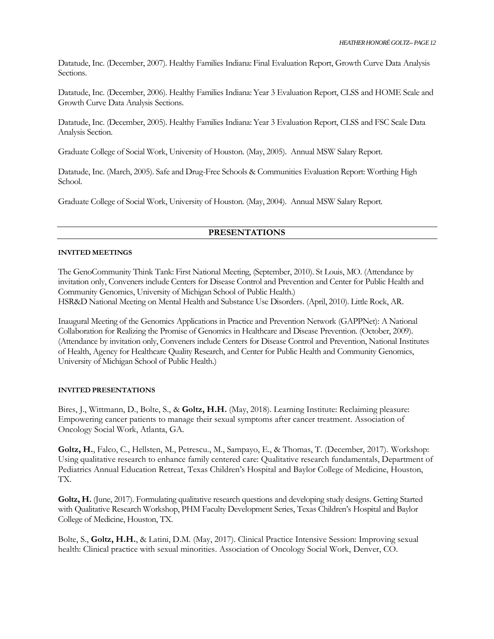Datatude, Inc. (December, 2007). Healthy Families Indiana: Final Evaluation Report, Growth Curve Data Analysis Sections.

Datatude, Inc. (December, 2006). Healthy Families Indiana: Year 3 Evaluation Report, CLSS and HOME Scale and Growth Curve Data Analysis Sections.

Datatude, Inc. (December, 2005). Healthy Families Indiana: Year 3 Evaluation Report, CLSS and FSC Scale Data Analysis Section.

Graduate College of Social Work, University of Houston. (May, 2005). Annual MSW Salary Report.

Datatude, Inc. (March, 2005). Safe and Drug-Free Schools & Communities Evaluation Report: Worthing High School.

Graduate College of Social Work, University of Houston. (May, 2004). Annual MSW Salary Report.

### **PRESENTATIONS**

#### **INVITED MEETINGS**

The GenoCommunity Think Tank: First National Meeting, (September, 2010). St Louis, MO. (Attendance by invitation only, Conveners include Centers for Disease Control and Prevention and Center for Public Health and Community Genomics, University of Michigan School of Public Health.) HSR&D National Meeting on Mental Health and Substance Use Disorders. (April, 2010). Little Rock, AR.

Inaugural Meeting of the Genomics Applications in Practice and Prevention Network (GAPPNet): A National Collaboration for Realizing the Promise of Genomics in Healthcare and Disease Prevention. (October, 2009). (Attendance by invitation only, Conveners include Centers for Disease Control and Prevention, National Institutes of Health, Agency for Healthcare Quality Research, and Center for Public Health and Community Genomics, University of Michigan School of Public Health.)

#### **INVITED PRESENTATIONS**

Bires, J., Wittmann, D., Bolte, S., & **Goltz, H.H.** (May, 2018). Learning Institute: Reclaiming pleasure: Empowering cancer patients to manage their sexual symptoms after cancer treatment. Association of Oncology Social Work, Atlanta, GA.

**Goltz, H.**, Falco, C., Hellsten, M., Petrescu., M., Sampayo, E., & Thomas, T. (December, 2017). Workshop: Using qualitative research to enhance family centered care: Qualitative research fundamentals, Department of Pediatrics Annual Education Retreat, Texas Children's Hospital and Baylor College of Medicine, Houston, TX.

**Goltz, H.** (June, 2017). Formulating qualitative research questions and developing study designs. Getting Started with Qualitative Research Workshop, PHM Faculty Development Series, Texas Children's Hospital and Baylor College of Medicine, Houston, TX.

Bolte, S., **Goltz, H.H.**, & Latini, D.M. (May, 2017). Clinical Practice Intensive Session: Improving sexual health: Clinical practice with sexual minorities. Association of Oncology Social Work, Denver, CO.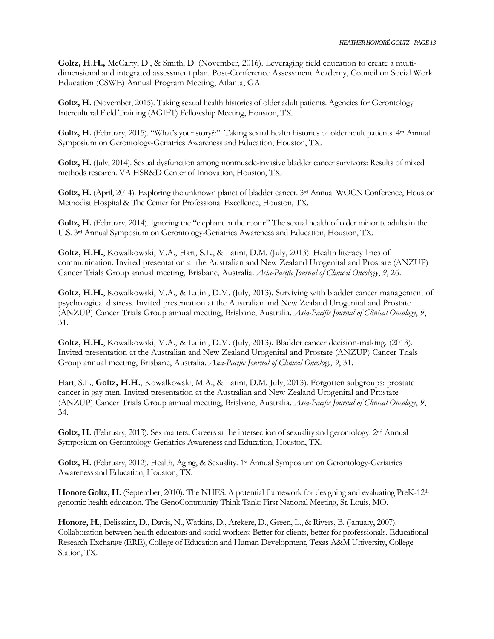**Goltz, H.H.,** McCarty, D., & Smith, D. (November, 2016). Leveraging field education to create a multidimensional and integrated assessment plan. Post-Conference Assessment Academy, Council on Social Work Education (CSWE) Annual Program Meeting, Atlanta, GA.

Goltz, H. (November, 2015). Taking sexual health histories of older adult patients. Agencies for Gerontology Intercultural Field Training (AGIFT) Fellowship Meeting, Houston, TX.

Goltz, H. (February, 2015). "What's your story?:" Taking sexual health histories of older adult patients. 4<sup>th</sup> Annual Symposium on Gerontology-Geriatrics Awareness and Education, Houston, TX.

**Goltz, H.** (July, 2014). Sexual dysfunction among nonmuscle-invasive bladder cancer survivors: Results of mixed methods research. VA HSR&D Center of Innovation, Houston, TX.

Goltz, H. (April, 2014). Exploring the unknown planet of bladder cancer. 3<sup>rd</sup> Annual WOCN Conference, Houston Methodist Hospital & The Center for Professional Excellence, Houston, TX.

**Goltz, H.** (February, 2014). Ignoring the "elephant in the room:" The sexual health of older minority adults in the U.S. 3<sup>rd</sup> Annual Symposium on Gerontology-Geriatrics Awareness and Education, Houston, TX.

**Goltz, H.H.**, Kowalkowski, M.A., Hart, S.L., & Latini, D.M. (July, 2013). Health literacy lines of communication. Invited presentation at the Australian and New Zealand Urogenital and Prostate (ANZUP) Cancer Trials Group annual meeting, Brisbane, Australia. *Asia-Pacific Journal of Clinical Oncology*, *9*, 26.

**Goltz, H.H.**, Kowalkowski, M.A., & Latini, D.M. (July, 2013). Surviving with bladder cancer management of psychological distress. Invited presentation at the Australian and New Zealand Urogenital and Prostate (ANZUP) Cancer Trials Group annual meeting, Brisbane, Australia. *Asia-Pacific Journal of Clinical Oncology*, *9*, 31.

**Goltz, H.H.**, Kowalkowski, M.A., & Latini, D.M. (July, 2013). Bladder cancer decision-making. (2013). Invited presentation at the Australian and New Zealand Urogenital and Prostate (ANZUP) Cancer Trials Group annual meeting, Brisbane, Australia. *Asia-Pacific Journal of Clinical Oncology*, *9*, 31.

Hart, S.L., **Goltz, H.H.**, Kowalkowski, M.A., & Latini, D.M. July, 2013). Forgotten subgroups: prostate cancer in gay men. Invited presentation at the Australian and New Zealand Urogenital and Prostate (ANZUP) Cancer Trials Group annual meeting, Brisbane, Australia. *Asia-Pacific Journal of Clinical Oncology*, *9*, 34.

Goltz, H. (February, 2013). Sex matters: Careers at the intersection of sexuality and gerontology. 2<sup>nd</sup> Annual Symposium on Gerontology-Geriatrics Awareness and Education, Houston, TX.

Goltz, H. (February, 2012). Health, Aging, & Sexuality. 1<sup>st</sup> Annual Symposium on Gerontology-Geriatrics Awareness and Education, Houston, TX.

Honore Goltz, H. (September, 2010). The NHES: A potential framework for designing and evaluating PreK-12<sup>th</sup> genomic health education. The GenoCommunity Think Tank: First National Meeting, St. Louis, MO.

**Honore, H.**, Delissaint, D., Davis, N., Watkins, D., Arekere, D., Green, L., & Rivers, B. (January, 2007). Collaboration between health educators and social workers: Better for clients, better for professionals. Educational Research Exchange (ERE), College of Education and Human Development, Texas A&M University, College Station, TX.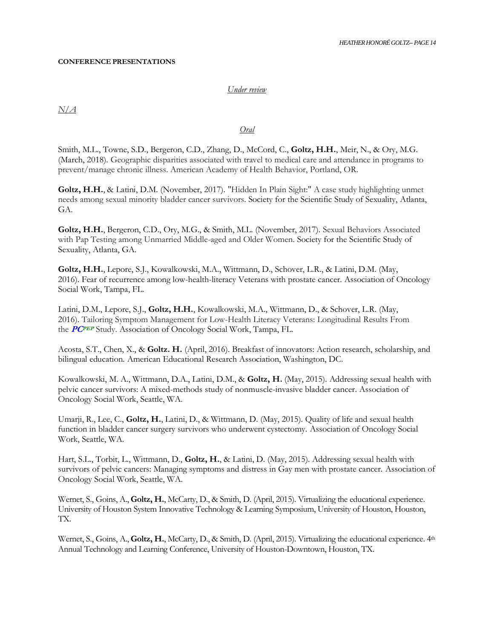#### **CONFERENCE PRESENTATIONS**

#### *Under review*

*N/A*

#### *Oral*

Smith, M.L., Towne, S.D., Bergeron, C.D., Zhang, D., McCord, C., **Goltz, H.H.**, Meir, N., & Ory, M.G. (March, 2018). Geographic disparities associated with travel to medical care and attendance in programs to prevent/manage chronic illness. American Academy of Health Behavior, Portland, OR.

**Goltz, H.H.**, & Latini, D.M. (November, 2017). "Hidden In Plain Sight:" A case study highlighting unmet needs among sexual minority bladder cancer survivors. Society for the Scientific Study of Sexuality, Atlanta, GA.

**Goltz, H.H.**, Bergeron, C.D., Ory, M.G., & Smith, M.L. (November, 2017). Sexual Behaviors Associated with Pap Testing among Unmarried Middle-aged and Older Women. Society for the Scientific Study of Sexuality, Atlanta, GA.

**Goltz, H.H.**, Lepore, S.J., Kowalkowski, M.A., Wittmann, D., Schover, L.R., & Latini, D.M. (May, 2016). Fear of recurrence among low-health-literacy Veterans with prostate cancer. Association of Oncology Social Work, Tampa, FL.

Latini, D.M., Lepore, S.J., **Goltz, H.H.**, Kowalkowski, M.A., Wittmann, D., & Schover, L.R. (May, 2016). Tailoring Symptom Management for Low-Health Literacy Veterans: Longitudinal Results From the **PCPEP** Study. Association of Oncology Social Work, Tampa, FL.

Acosta, S.T., Chen, X., & **Goltz. H.** (April, 2016). Breakfast of innovators: Action research, scholarship, and bilingual education. American Educational Research Association, Washington, DC.

Kowalkowski, M. A., Wittmann, D.A., Latini, D.M., & **Goltz, H.** (May, 2015). Addressing sexual health with pelvic cancer survivors: A mixed-methods study of nonmuscle-invasive bladder cancer. Association of Oncology Social Work, Seattle, WA.

Umarji, R., Lee, C., **Goltz, H.**, Latini, D., & Wittmann, D. (May, 2015). Quality of life and sexual health function in bladder cancer surgery survivors who underwent cystectomy. Association of Oncology Social Work, Seattle, WA.

Hart, S.L., Torbit, L., Wittmann, D., **Goltz, H.**, & Latini, D. (May, 2015). Addressing sexual health with survivors of pelvic cancers: Managing symptoms and distress in Gay men with prostate cancer. Association of Oncology Social Work, Seattle, WA.

Wernet, S., Goins, A., **Goltz, H.**, McCarty, D., & Smith, D. (April, 2015). Virtualizing the educational experience. University of Houston System Innovative Technology & Learning Symposium, University of Houston, Houston, TX.

Wernet, S., Goins, A., Goltz, H., McCarty, D., & Smith, D. (April, 2015). Virtualizing the educational experience.  $4<sup>th</sup>$ Annual Technology and Learning Conference, University of Houston-Downtown, Houston, TX.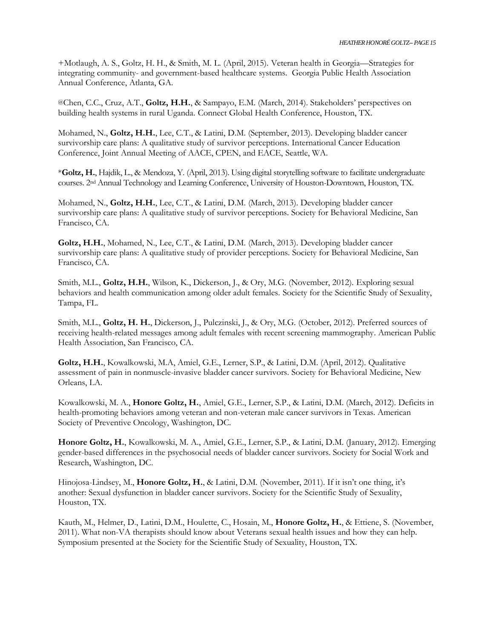+Motlaugh, A. S., Goltz, H. H., & Smith, M. L. (April, 2015). Veteran health in Georgia—Strategies for integrating community- and government-based healthcare systems*.* Georgia Public Health Association Annual Conference, Atlanta, GA.

@Chen, C.C., Cruz, A.T., **Goltz, H.H.**, & Sampayo, E.M. (March, 2014). Stakeholders' perspectives on building health systems in rural Uganda. Connect Global Health Conference, Houston, TX.

Mohamed, N., **Goltz, H.H.**, Lee, C.T., & Latini, D.M. (September, 2013). Developing bladder cancer survivorship care plans: A qualitative study of survivor perceptions. International Cancer Education Conference, Joint Annual Meeting of AACE, CPEN, and EACE, Seattle, WA.

\***Goltz, H.**, Hajdik, L., & Mendoza, Y. (April, 2013). Using digital storytelling software to facilitate undergraduate courses. 2nd Annual Technology and Learning Conference, University of Houston-Downtown, Houston, TX.

Mohamed, N., **Goltz, H.H.**, Lee, C.T., & Latini, D.M. (March, 2013). Developing bladder cancer survivorship care plans: A qualitative study of survivor perceptions. Society for Behavioral Medicine, San Francisco, CA.

**Goltz, H.H.**, Mohamed, N., Lee, C.T., & Latini, D.M. (March, 2013). Developing bladder cancer survivorship care plans: A qualitative study of provider perceptions. Society for Behavioral Medicine, San Francisco, CA.

Smith, M.L., **Goltz, H.H.**, Wilson, K., Dickerson, J., & Ory, M.G. (November, 2012). Exploring sexual behaviors and health communication among older adult females. Society for the Scientific Study of Sexuality, Tampa, FL.

Smith, M.L., **Goltz, H. H.**, Dickerson, J., Pulczinski, J., & Ory, M.G. (October, 2012). Preferred sources of receiving health-related messages among adult females with recent screening mammography. American Public Health Association, San Francisco, CA.

**Goltz, H.H.**, Kowalkowski, M.A, Amiel, G.E., Lerner, S.P., & Latini, D.M. (April, 2012). Qualitative assessment of pain in nonmuscle-invasive bladder cancer survivors. Society for Behavioral Medicine, New Orleans, LA.

Kowalkowski, M. A., **Honore Goltz, H.**, Amiel, G.E., Lerner, S.P., & Latini, D.M. (March, 2012). Deficits in health-promoting behaviors among veteran and non-veteran male cancer survivors in Texas. American Society of Preventive Oncology, Washington, DC.

**Honore Goltz, H.**, Kowalkowski, M. A., Amiel, G.E., Lerner, S.P., & Latini, D.M. (January, 2012). Emerging gender-based differences in the psychosocial needs of bladder cancer survivors. Society for Social Work and Research, Washington, DC.

Hinojosa-Lindsey, M., **Honore Goltz, H.**, & Latini, D.M. (November, 2011). If it isn't one thing, it's another: Sexual dysfunction in bladder cancer survivors. Society for the Scientific Study of Sexuality, Houston, TX.

Kauth, M., Helmer, D., Latini, D.M., Houlette, C., Hosain, M., **Honore Goltz, H.**, & Ettiene, S. (November, 2011). What non-VA therapists should know about Veterans sexual health issues and how they can help. Symposium presented at the Society for the Scientific Study of Sexuality, Houston, TX.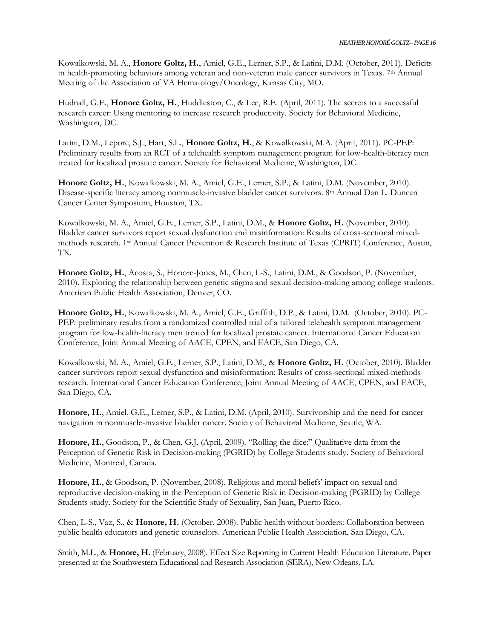Kowalkowski, M. A., **Honore Goltz, H.**, Amiel, G.E., Lerner, S.P., & Latini, D.M. (October, 2011). Deficits in health-promoting behaviors among veteran and non-veteran male cancer survivors in Texas. 7th Annual Meeting of the Association of VA Hematology/Oncology, Kansas City, MO.

Hudnall, G.E., **Honore Goltz, H.**, Huddleston, C., & Lee, R.E. (April, 2011). The secrets to a successful research career: Using mentoring to increase research productivity. Society for Behavioral Medicine, Washington, DC.

Latini, D.M., Lepore, S.J., Hart, S.L., **Honore Goltz, H.**, & Kowalkowski, M.A. (April, 2011). PC-PEP: Preliminary results from an RCT of a telehealth symptom management program for low-health-literacy men treated for localized prostate cancer. Society for Behavioral Medicine, Washington, DC.

**Honore Goltz, H.**, Kowalkowski, M. A., Amiel, G.E., Lerner, S.P., & Latini, D.M. (November, 2010). Disease-specific literacy among nonmuscle-invasive bladder cancer survivors. 8<sup>th</sup> Annual Dan L. Duncan Cancer Center Symposium, Houston, TX.

Kowalkowski, M. A., Amiel, G.E., Lerner, S.P., Latini, D.M., & **Honore Goltz, H.** (November, 2010). Bladder cancer survivors report sexual dysfunction and misinformation: Results of cross-sectional mixedmethods research. 1st Annual Cancer Prevention & Research Institute of Texas (CPRIT) Conference, Austin, TX.

**Honore Goltz, H.**, Acosta, S., Honore-Jones, M., Chen, L-S., Latini, D.M., & Goodson, P. (November, 2010). Exploring the relationship between genetic stigma and sexual decision-making among college students. American Public Health Association, Denver, CO.

**Honore Goltz, H.**, Kowalkowski, M. A., Amiel, G.E., Griffith, D.P., & Latini, D.M. (October, 2010). PC-PEP: preliminary results from a randomized controlled trial of a tailored telehealth symptom management program for low-health-literacy men treated for localized prostate cancer. International Cancer Education Conference, Joint Annual Meeting of AACE, CPEN, and EACE, San Diego, CA.

Kowalkowski, M. A., Amiel, G.E., Lerner, S.P., Latini, D.M., & **Honore Goltz, H.** (October, 2010). Bladder cancer survivors report sexual dysfunction and misinformation: Results of cross-sectional mixed-methods research. International Cancer Education Conference, Joint Annual Meeting of AACE, CPEN, and EACE, San Diego, CA.

**Honore, H.**, Amiel, G.E., Lerner, S.P., & Latini, D.M. (April, 2010). Survivorship and the need for cancer navigation in nonmuscle-invasive bladder cancer. Society of Behavioral Medicine, Seattle, WA.

**Honore, H.**, Goodson, P., & Chen, G.J. (April, 2009). "Rolling the dice:" Qualitative data from the Perception of Genetic Risk in Decision-making (PGRID) by College Students study. Society of Behavioral Medicine, Montreal, Canada.

**Honore, H.**, & Goodson, P. (November, 2008). Religious and moral beliefs' impact on sexual and reproductive decision-making in the Perception of Genetic Risk in Decision-making (PGRID) by College Students study. Society for the Scientific Study of Sexuality, San Juan, Puerto Rico.

Chen, L-S., Vaz, S., & **Honore, H.** (October, 2008). Public health without borders: Collaboration between public health educators and genetic counselors. American Public Health Association, San Diego, CA.

Smith, M.L., & **Honore, H.** (February, 2008). Effect Size Reporting in Current Health Education Literature. Paper presented at the Southwestern Educational and Research Association (SERA), New Orleans, LA.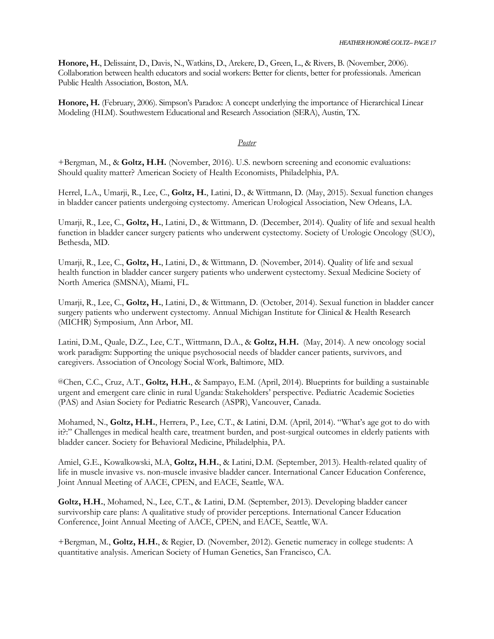**Honore, H.**, Delissaint, D., Davis, N., Watkins, D., Arekere, D., Green, L., & Rivers, B. (November, 2006). Collaboration between health educators and social workers: Better for clients, better for professionals. American Public Health Association, Boston, MA.

**Honore, H.** (February, 2006). Simpson's Paradox: A concept underlying the importance of Hierarchical Linear Modeling (HLM). Southwestern Educational and Research Association (SERA), Austin, TX.

#### *Poster*

+Bergman, M., & **Goltz, H.H.** (November, 2016). U.S. newborn screening and economic evaluations: Should quality matter? American Society of Health Economists, Philadelphia, PA.

Herrel, L.A., Umarji, R., Lee, C., **Goltz, H.**, Latini, D., & Wittmann, D. (May, 2015). Sexual function changes in bladder cancer patients undergoing cystectomy. American Urological Association, New Orleans, LA.

Umarji, R., Lee, C., **Goltz, H.**, Latini, D., & Wittmann, D. (December, 2014). Quality of life and sexual health function in bladder cancer surgery patients who underwent cystectomy. Society of Urologic Oncology (SUO), Bethesda, MD.

Umarji, R., Lee, C., **Goltz, H.**, Latini, D., & Wittmann, D. (November, 2014). Quality of life and sexual health function in bladder cancer surgery patients who underwent cystectomy. Sexual Medicine Society of North America (SMSNA), Miami, FL.

Umarji, R., Lee, C., **Goltz, H.**, Latini, D., & Wittmann, D. (October, 2014). Sexual function in bladder cancer surgery patients who underwent cystectomy. Annual Michigan Institute for Clinical & Health Research (MICHR) Symposium, Ann Arbor, MI.

Latini, D.M., Quale, D.Z., Lee, C.T., Wittmann, D.A., & **Goltz, H.H.** (May, 2014). A new oncology social work paradigm: Supporting the unique psychosocial needs of bladder cancer patients, survivors, and caregivers. Association of Oncology Social Work, Baltimore, MD.

@Chen, C.C., Cruz, A.T., **Goltz, H.H.**, & Sampayo, E.M. (April, 2014). Blueprints for building a sustainable urgent and emergent care clinic in rural Uganda: Stakeholders' perspective. Pediatric Academic Societies (PAS) and Asian Society for Pediatric Research (ASPR), Vancouver, Canada.

Mohamed, N., **Goltz, H.H.**, Herrera, P., Lee, C.T., & Latini, D.M. (April, 2014). "What's age got to do with it?:" Challenges in medical health care, treatment burden, and post-surgical outcomes in elderly patients with bladder cancer. Society for Behavioral Medicine, Philadelphia, PA.

Amiel, G.E., Kowalkowski, M.A, **Goltz, H.H.**, & Latini, D.M. (September, 2013). Health-related quality of life in muscle invasive vs. non-muscle invasive bladder cancer. International Cancer Education Conference, Joint Annual Meeting of AACE, CPEN, and EACE, Seattle, WA.

**Goltz, H.H.**, Mohamed, N., Lee, C.T., & Latini, D.M. (September, 2013). Developing bladder cancer survivorship care plans: A qualitative study of provider perceptions. International Cancer Education Conference, Joint Annual Meeting of AACE, CPEN, and EACE, Seattle, WA.

+Bergman, M., **Goltz, H.H.**, & Regier, D. (November, 2012). Genetic numeracy in college students: A quantitative analysis. American Society of Human Genetics, San Francisco, CA.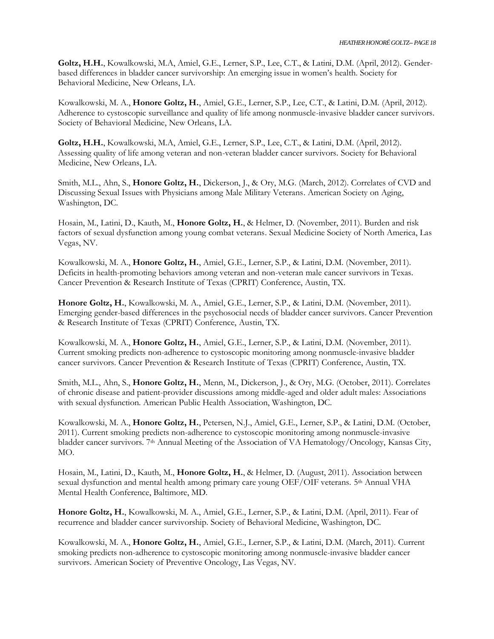Goltz, H.H., Kowalkowski, M.A, Amiel, G.E., Lerner, S.P., Lee, C.T., & Latini, D.M. (April, 2012). Genderbased differences in bladder cancer survivorship: An emerging issue in women's health. Society for Behavioral Medicine, New Orleans, LA.

Kowalkowski, M. A., **Honore Goltz, H.**, Amiel, G.E., Lerner, S.P., Lee, C.T., & Latini, D.M. (April, 2012). Adherence to cystoscopic surveillance and quality of life among nonmuscle-invasive bladder cancer survivors. Society of Behavioral Medicine, New Orleans, LA.

**Goltz, H.H.**, Kowalkowski, M.A, Amiel, G.E., Lerner, S.P., Lee, C.T., & Latini, D.M. (April, 2012). Assessing quality of life among veteran and non-veteran bladder cancer survivors. Society for Behavioral Medicine, New Orleans, LA.

Smith, M.L., Ahn, S., **Honore Goltz, H.**, Dickerson, J., & Ory, M.G. (March, 2012). Correlates of CVD and Discussing Sexual Issues with Physicians among Male Military Veterans. American Society on Aging, Washington, DC.

Hosain, M., Latini, D., Kauth, M., **Honore Goltz, H.**, & Helmer, D. (November, 2011). Burden and risk factors of sexual dysfunction among young combat veterans. Sexual Medicine Society of North America, Las Vegas, NV.

Kowalkowski, M. A., **Honore Goltz, H.**, Amiel, G.E., Lerner, S.P., & Latini, D.M. (November, 2011). Deficits in health-promoting behaviors among veteran and non-veteran male cancer survivors in Texas. Cancer Prevention & Research Institute of Texas (CPRIT) Conference, Austin, TX.

**Honore Goltz, H.**, Kowalkowski, M. A., Amiel, G.E., Lerner, S.P., & Latini, D.M. (November, 2011). Emerging gender-based differences in the psychosocial needs of bladder cancer survivors. Cancer Prevention & Research Institute of Texas (CPRIT) Conference, Austin, TX.

Kowalkowski, M. A., **Honore Goltz, H.**, Amiel, G.E., Lerner, S.P., & Latini, D.M. (November, 2011). Current smoking predicts non-adherence to cystoscopic monitoring among nonmuscle-invasive bladder cancer survivors. Cancer Prevention & Research Institute of Texas (CPRIT) Conference, Austin, TX.

Smith, M.L., Ahn, S., **Honore Goltz, H.**, Menn, M., Dickerson, J., & Ory, M.G. (October, 2011). Correlates of chronic disease and patient-provider discussions among middle-aged and older adult males: Associations with sexual dysfunction. American Public Health Association, Washington, DC.

Kowalkowski, M. A., **Honore Goltz, H.**, Petersen, N.J., Amiel, G.E., Lerner, S.P., & Latini, D.M. (October, 2011). Current smoking predicts non-adherence to cystoscopic monitoring among nonmuscle-invasive bladder cancer survivors. 7<sup>th</sup> Annual Meeting of the Association of VA Hematology/Oncology, Kansas City, MO.

Hosain, M., Latini, D., Kauth, M., **Honore Goltz, H.**, & Helmer, D. (August, 2011). Association between sexual dysfunction and mental health among primary care young OEF/OIF veterans. 5<sup>th</sup> Annual VHA Mental Health Conference, Baltimore, MD.

**Honore Goltz, H.**, Kowalkowski, M. A., Amiel, G.E., Lerner, S.P., & Latini, D.M. (April, 2011). Fear of recurrence and bladder cancer survivorship. Society of Behavioral Medicine, Washington, DC.

Kowalkowski, M. A., **Honore Goltz, H.**, Amiel, G.E., Lerner, S.P., & Latini, D.M. (March, 2011). Current smoking predicts non-adherence to cystoscopic monitoring among nonmuscle-invasive bladder cancer survivors. American Society of Preventive Oncology, Las Vegas, NV.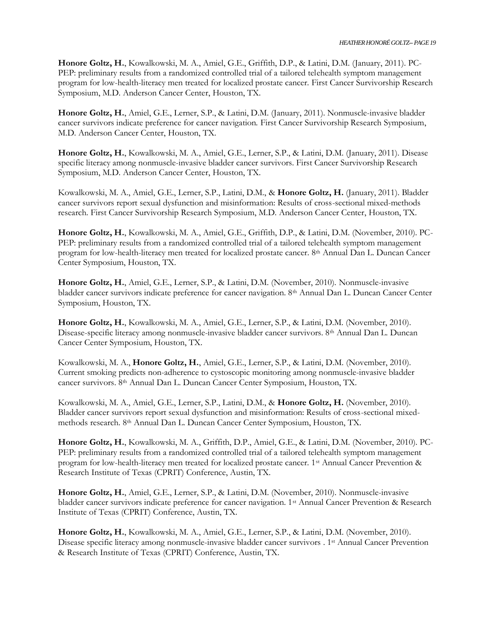**Honore Goltz, H.**, Kowalkowski, M. A., Amiel, G.E., Griffith, D.P., & Latini, D.M. (January, 2011). PC-PEP: preliminary results from a randomized controlled trial of a tailored telehealth symptom management program for low-health-literacy men treated for localized prostate cancer. First Cancer Survivorship Research Symposium, M.D. Anderson Cancer Center, Houston, TX.

**Honore Goltz, H.**, Amiel, G.E., Lerner, S.P., & Latini, D.M. (January, 2011). Nonmuscle-invasive bladder cancer survivors indicate preference for cancer navigation. First Cancer Survivorship Research Symposium, M.D. Anderson Cancer Center, Houston, TX.

**Honore Goltz, H.**, Kowalkowski, M. A., Amiel, G.E., Lerner, S.P., & Latini, D.M. (January, 2011). Disease specific literacy among nonmuscle-invasive bladder cancer survivors. First Cancer Survivorship Research Symposium, M.D. Anderson Cancer Center, Houston, TX.

Kowalkowski, M. A., Amiel, G.E., Lerner, S.P., Latini, D.M., & **Honore Goltz, H.** (January, 2011). Bladder cancer survivors report sexual dysfunction and misinformation: Results of cross-sectional mixed-methods research. First Cancer Survivorship Research Symposium, M.D. Anderson Cancer Center, Houston, TX.

**Honore Goltz, H.**, Kowalkowski, M. A., Amiel, G.E., Griffith, D.P., & Latini, D.M. (November, 2010). PC-PEP: preliminary results from a randomized controlled trial of a tailored telehealth symptom management program for low-health-literacy men treated for localized prostate cancer. 8th Annual Dan L. Duncan Cancer Center Symposium, Houston, TX.

**Honore Goltz, H.**, Amiel, G.E., Lerner, S.P., & Latini, D.M. (November, 2010). Nonmuscle-invasive bladder cancer survivors indicate preference for cancer navigation. 8th Annual Dan L. Duncan Cancer Center Symposium, Houston, TX.

**Honore Goltz, H.**, Kowalkowski, M. A., Amiel, G.E., Lerner, S.P., & Latini, D.M. (November, 2010). Disease-specific literacy among nonmuscle-invasive bladder cancer survivors. 8th Annual Dan L. Duncan Cancer Center Symposium, Houston, TX.

Kowalkowski, M. A., **Honore Goltz, H.**, Amiel, G.E., Lerner, S.P., & Latini, D.M. (November, 2010). Current smoking predicts non-adherence to cystoscopic monitoring among nonmuscle-invasive bladder cancer survivors. 8th Annual Dan L. Duncan Cancer Center Symposium, Houston, TX.

Kowalkowski, M. A., Amiel, G.E., Lerner, S.P., Latini, D.M., & **Honore Goltz, H.** (November, 2010). Bladder cancer survivors report sexual dysfunction and misinformation: Results of cross-sectional mixedmethods research. 8th Annual Dan L. Duncan Cancer Center Symposium, Houston, TX.

**Honore Goltz, H.**, Kowalkowski, M. A., Griffith, D.P., Amiel, G.E., & Latini, D.M. (November, 2010). PC-PEP: preliminary results from a randomized controlled trial of a tailored telehealth symptom management program for low-health-literacy men treated for localized prostate cancer. 1st Annual Cancer Prevention & Research Institute of Texas (CPRIT) Conference, Austin, TX.

**Honore Goltz, H.**, Amiel, G.E., Lerner, S.P., & Latini, D.M. (November, 2010). Nonmuscle-invasive bladder cancer survivors indicate preference for cancer navigation. 1st Annual Cancer Prevention & Research Institute of Texas (CPRIT) Conference, Austin, TX.

**Honore Goltz, H.**, Kowalkowski, M. A., Amiel, G.E., Lerner, S.P., & Latini, D.M. (November, 2010). Disease specific literacy among nonmuscle-invasive bladder cancer survivors . 1<sup>st</sup> Annual Cancer Prevention & Research Institute of Texas (CPRIT) Conference, Austin, TX.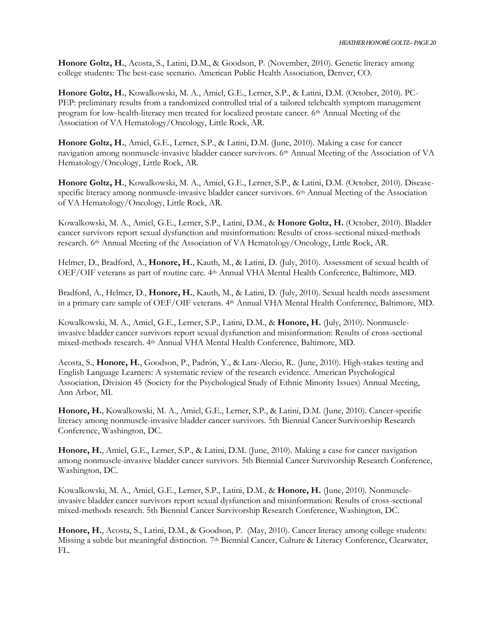**Honore Goltz, H.**, Acosta, S., Latini, D.M., & Goodson, P. (November, 2010). Genetic literacy among college students: The best-case scenario. American Public Health Association, Denver, CO.

**Honore Goltz, H.**, Kowalkowski, M. A., Amiel, G.E., Lerner, S.P., & Latini, D.M. (October, 2010). PC-PEP: preliminary results from a randomized controlled trial of a tailored telehealth symptom management program for low-health-literacy men treated for localized prostate cancer. 6th Annual Meeting of the Association of VA Hematology/Oncology, Little Rock, AR.

**Honore Goltz, H.**, Amiel, G.E., Lerner, S.P., & Latini, D.M. (June, 2010). Making a case for cancer navigation among nonmuscle-invasive bladder cancer survivors. 6th Annual Meeting of the Association of VA Hematology/Oncology, Little Rock, AR.

**Honore Goltz, H.**, Kowalkowski, M. A., Amiel, G.E., Lerner, S.P., & Latini, D.M. (October, 2010). Diseasespecific literacy among nonmuscle-invasive bladder cancer survivors. 6<sup>th</sup> Annual Meeting of the Association of VA Hematology/Oncology, Little Rock, AR.

Kowalkowski, M. A., Amiel, G.E., Lerner, S.P., Latini, D.M., & **Honore Goltz, H.** (October, 2010). Bladder cancer survivors report sexual dysfunction and misinformation: Results of cross-sectional mixed-methods research. 6th Annual Meeting of the Association of VA Hematology/Oncology, Little Rock, AR.

Helmer, D., Bradford, A., **Honore, H.**, Kauth, M., & Latini, D. (July, 2010). Assessment of sexual health of OEF/OIF veterans as part of routine care. 4th Annual VHA Mental Health Conference, Baltimore, MD.

Bradford, A., Helmer, D., **Honore, H.**, Kauth, M., & Latini, D. (July, 2010). Sexual health needs assessment in a primary care sample of OEF/OIF veterans. 4<sup>th</sup> Annual VHA Mental Health Conference, Baltimore, MD.

Kowalkowski, M. A., Amiel, G.E., Lerner, S.P., Latini, D.M., & **Honore, H.** (July, 2010). Nonmuscleinvasive bladder cancer survivors report sexual dysfunction and misinformation: Results of cross-sectional mixed-methods research. 4th Annual VHA Mental Health Conference, Baltimore, MD.

Acosta, S., **Honore, H.**, Goodson, P., Padrón, Y., & Lara-Alecio, R.. (June, 2010). High-stakes testing and English Language Learners: A systematic review of the research evidence. American Psychological Association, Division 45 (Society for the Psychological Study of Ethnic Minority Issues) Annual Meeting, Ann Arbor, MI.

**Honore, H.**, Kowalkowski, M. A., Amiel, G.E., Lerner, S.P., & Latini, D.M. (June, 2010). Cancer-specific literacy among nonmuscle-invasive bladder cancer survivors. 5th Biennial Cancer Survivorship Research Conference, Washington, DC.

**Honore, H.**, Amiel, G.E., Lerner, S.P., & Latini, D.M. (June, 2010). Making a case for cancer navigation among nonmuscle-invasive bladder cancer survivors. 5th Biennial Cancer Survivorship Research Conference, Washington, DC.

Kowalkowski, M. A., Amiel, G.E., Lerner, S.P., Latini, D.M., & **Honore, H.** (June, 2010). Nonmuscleinvasive bladder cancer survivors report sexual dysfunction and misinformation: Results of cross-sectional mixed-methods research. 5th Biennial Cancer Survivorship Research Conference, Washington, DC.

**Honore, H.**, Acosta, S., Latini, D.M., & Goodson, P. (May, 2010). Cancer literacy among college students: Missing a subtle but meaningful distinction. 7<sup>th</sup> Biennial Cancer, Culture & Literacy Conference, Clearwater, FL.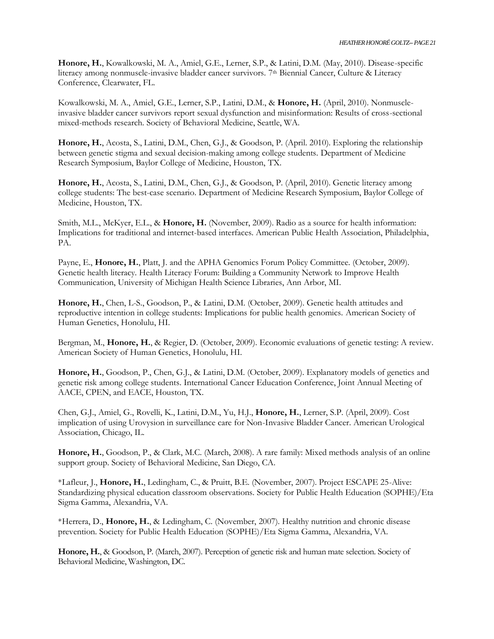**Honore, H.**, Kowalkowski, M. A., Amiel, G.E., Lerner, S.P., & Latini, D.M. (May, 2010). Disease-specific literacy among nonmuscle-invasive bladder cancer survivors. 7<sup>th</sup> Biennial Cancer, Culture & Literacy Conference, Clearwater, FL.

Kowalkowski, M. A., Amiel, G.E., Lerner, S.P., Latini, D.M., & **Honore, H.** (April, 2010). Nonmuscleinvasive bladder cancer survivors report sexual dysfunction and misinformation: Results of cross-sectional mixed-methods research. Society of Behavioral Medicine, Seattle, WA.

**Honore, H.**, Acosta, S., Latini, D.M., Chen, G.J., & Goodson, P. (April. 2010). Exploring the relationship between genetic stigma and sexual decision-making among college students. Department of Medicine Research Symposium, Baylor College of Medicine, Houston, TX.

**Honore, H.**, Acosta, S., Latini, D.M., Chen, G.J., & Goodson, P. (April, 2010). Genetic literacy among college students: The best-case scenario. Department of Medicine Research Symposium, Baylor College of Medicine, Houston, TX.

Smith, M.L., McKyer, E.L., & **Honore, H.** (November, 2009). Radio as a source for health information: Implications for traditional and internet-based interfaces. American Public Health Association, Philadelphia, PA.

Payne, E., Honore, H., Platt, J. and the APHA Genomics Forum Policy Committee. (October, 2009). Genetic health literacy. Health Literacy Forum: Building a Community Network to Improve Health Communication, University of Michigan Health Science Libraries, Ann Arbor, MI.

**Honore, H.**, Chen, L-S., Goodson, P., & Latini, D.M. (October, 2009). Genetic health attitudes and reproductive intention in college students: Implications for public health genomics. American Society of Human Genetics, Honolulu, HI.

Bergman, M., **Honore, H.**, & Regier, D. (October, 2009). Economic evaluations of genetic testing: A review. American Society of Human Genetics, Honolulu, HI.

**Honore, H.**, Goodson, P., Chen, G.J., & Latini, D.M. (October, 2009). Explanatory models of genetics and genetic risk among college students. International Cancer Education Conference, Joint Annual Meeting of AACE, CPEN, and EACE, Houston, TX.

Chen, G.J., Amiel, G., Rovelli, K., Latini, D.M., Yu, H.J., **Honore, H.**, Lerner, S.P. (April, 2009). Cost implication of using Urovysion in surveillance care for Non-Invasive Bladder Cancer. American Urological Association, Chicago, IL.

**Honore, H.**, Goodson, P., & Clark, M.C. (March, 2008). A rare family: Mixed methods analysis of an online support group. Society of Behavioral Medicine, San Diego, CA.

\*Lafleur, J., **Honore, H.**, Ledingham, C., & Pruitt, B.E. (November, 2007). Project ESCAPE 25-Alive: Standardizing physical education classroom observations. Society for Public Health Education (SOPHE)/Eta Sigma Gamma, Alexandria, VA.

\*Herrera, D., **Honore, H.**, & Ledingham, C. (November, 2007). Healthy nutrition and chronic disease prevention. Society for Public Health Education (SOPHE)/Eta Sigma Gamma, Alexandria, VA.

**Honore, H.**, & Goodson, P. (March, 2007). Perception of genetic risk and human mate selection. Society of Behavioral Medicine, Washington, DC.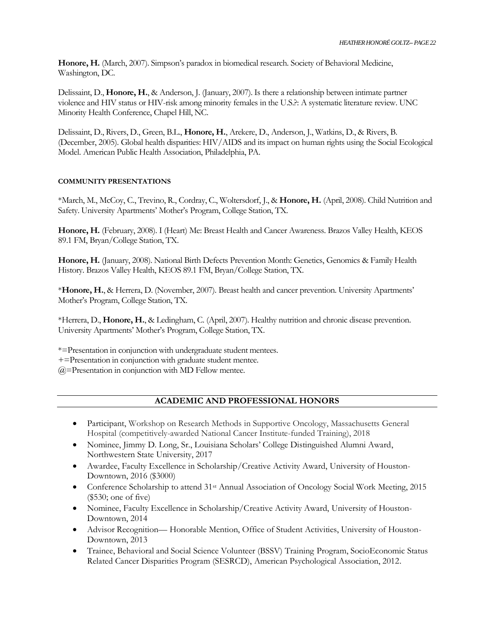**Honore, H.** (March, 2007). Simpson's paradox in biomedical research. Society of Behavioral Medicine, Washington, DC.

Delissaint, D., **Honore, H.**, & Anderson, J. (January, 2007). Is there a relationship between intimate partner violence and HIV status or HIV-risk among minority females in the U.S.?: A systematic literature review. UNC Minority Health Conference, Chapel Hill, NC.

Delissaint, D., Rivers, D., Green, B.L., **Honore, H.**, Arekere, D., Anderson, J., Watkins, D., & Rivers, B. (December, 2005). Global health disparities: HIV/AIDS and its impact on human rights using the Social Ecological Model. American Public Health Association, Philadelphia, PA.

### **COMMUNITY PRESENTATIONS**

\*March, M., McCoy, C., Trevino, R., Cordray, C., Woltersdorf, J., & **Honore, H.** (April, 2008). Child Nutrition and Safety. University Apartments' Mother's Program, College Station, TX.

**Honore, H.** (February, 2008). I (Heart) Me: Breast Health and Cancer Awareness. Brazos Valley Health, KEOS 89.1 FM, Bryan/College Station, TX.

**Honore, H.** (January, 2008). National Birth Defects Prevention Month: Genetics, Genomics & Family Health History. Brazos Valley Health, KEOS 89.1 FM, Bryan/College Station, TX.

\***Honore, H.**, & Herrera, D. (November, 2007). Breast health and cancer prevention. University Apartments' Mother's Program, College Station, TX.

\*Herrera, D., **Honore, H.**, & Ledingham, C. (April, 2007). Healthy nutrition and chronic disease prevention. University Apartments' Mother's Program, College Station, TX.

\*=Presentation in conjunction with undergraduate student mentees.

+=Presentation in conjunction with graduate student mentee.

@=Presentation in conjunction with MD Fellow mentee.

# **ACADEMIC AND PROFESSIONAL HONORS**

- Participant, Workshop on Research Methods in Supportive Oncology, Massachusetts General Hospital (competitively-awarded National Cancer Institute-funded Training), 2018
- Nominee, Jimmy D. Long, Sr., Louisiana Scholars' College Distinguished Alumni Award, Northwestern State University, 2017
- Awardee, Faculty Excellence in Scholarship/Creative Activity Award, University of Houston-Downtown, 2016 (\$3000)
- Conference Scholarship to attend 31<sup>st</sup> Annual Association of Oncology Social Work Meeting, 2015 (\$530; one of five)
- Nominee, Faculty Excellence in Scholarship/Creative Activity Award, University of Houston-Downtown, 2014
- Advisor Recognition— Honorable Mention, Office of Student Activities, University of Houston-Downtown, 2013
- Trainee, Behavioral and Social Science Volunteer (BSSV) Training Program, SocioEconomic Status Related Cancer Disparities Program (SESRCD), American Psychological Association, 2012.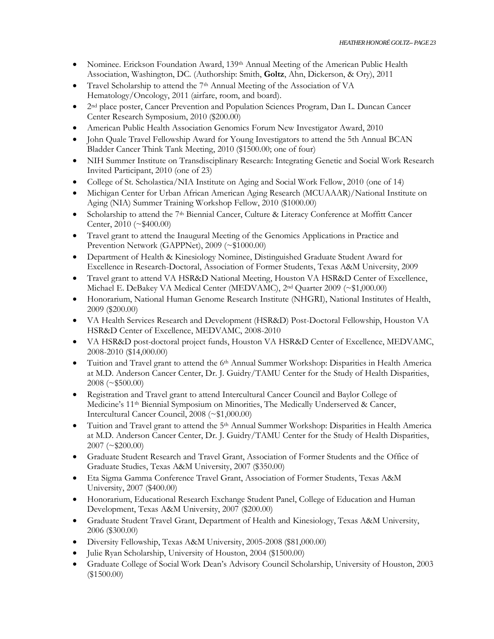- Nominee. Erickson Foundation Award, 139<sup>th</sup> Annual Meeting of the American Public Health Association, Washington, DC. (Authorship: Smith, **Goltz**, Ahn, Dickerson, & Ory), 2011
- Travel Scholarship to attend the  $7<sup>th</sup>$  Annual Meeting of the Association of VA Hematology/Oncology, 2011 (airfare, room, and board).
- <sup>•</sup> 2<sup>nd</sup> place poster, Cancer Prevention and Population Sciences Program, Dan L. Duncan Cancer Center Research Symposium, 2010 (\$200.00)
- American Public Health Association Genomics Forum New Investigator Award, 2010
- John Quale Travel Fellowship Award for Young Investigators to attend the 5th Annual BCAN Bladder Cancer Think Tank Meeting, 2010 (\$1500.00; one of four)
- NIH Summer Institute on Transdisciplinary Research: Integrating Genetic and Social Work Research Invited Participant, 2010 (one of 23)
- College of St. Scholastica/NIA Institute on Aging and Social Work Fellow, 2010 (one of 14)
- Michigan Center for Urban African American Aging Research (MCUAAAR)/National Institute on Aging (NIA) Summer Training Workshop Fellow, 2010 (\$1000.00)
- Scholarship to attend the 7<sup>th</sup> Biennial Cancer, Culture & Literacy Conference at Moffitt Cancer Center, 2010 (~\$400.00)
- Travel grant to attend the Inaugural Meeting of the Genomics Applications in Practice and Prevention Network (GAPPNet), 2009 (~\$1000.00)
- Department of Health & Kinesiology Nominee, Distinguished Graduate Student Award for Excellence in Research-Doctoral, Association of Former Students, Texas A&M University, 2009
- Travel grant to attend VA HSR&D National Meeting, Houston VA HSR&D Center of Excellence, Michael E. DeBakey VA Medical Center (MEDVAMC), 2nd Quarter 2009 (~\$1,000.00)
- Honorarium, National Human Genome Research Institute (NHGRI), National Institutes of Health, 2009 (\$200.00)
- VA Health Services Research and Development (HSR&D) Post-Doctoral Fellowship, Houston VA HSR&D Center of Excellence, MEDVAMC, 2008-2010
- VA HSR&D post-doctoral project funds, Houston VA HSR&D Center of Excellence, MEDVAMC, 2008-2010 (\$14,000.00)
- Tuition and Travel grant to attend the 6<sup>th</sup> Annual Summer Workshop: Disparities in Health America at M.D. Anderson Cancer Center, Dr. J. Guidry/TAMU Center for the Study of Health Disparities, 2008 (~\$500.00)
- Registration and Travel grant to attend Intercultural Cancer Council and Baylor College of Medicine's 11th Biennial Symposium on Minorities, The Medically Underserved & Cancer, Intercultural Cancer Council, 2008 (~\$1,000.00)
- Tuition and Travel grant to attend the 5<sup>th</sup> Annual Summer Workshop: Disparities in Health America at M.D. Anderson Cancer Center, Dr. J. Guidry/TAMU Center for the Study of Health Disparities, 2007 (~\$200.00)
- Graduate Student Research and Travel Grant, Association of Former Students and the Office of Graduate Studies, Texas A&M University, 2007 (\$350.00)
- Eta Sigma Gamma Conference Travel Grant, Association of Former Students, Texas A&M University, 2007 (\$400.00)
- Honorarium, Educational Research Exchange Student Panel, College of Education and Human Development, Texas A&M University, 2007 (\$200.00)
- Graduate Student Travel Grant, Department of Health and Kinesiology, Texas A&M University, 2006 (\$300.00)
- Diversity Fellowship, Texas A&M University, 2005-2008 (\$81,000.00)
- Julie Ryan Scholarship, University of Houston, 2004 (\$1500.00)
- Graduate College of Social Work Dean's Advisory Council Scholarship, University of Houston, 2003 (\$1500.00)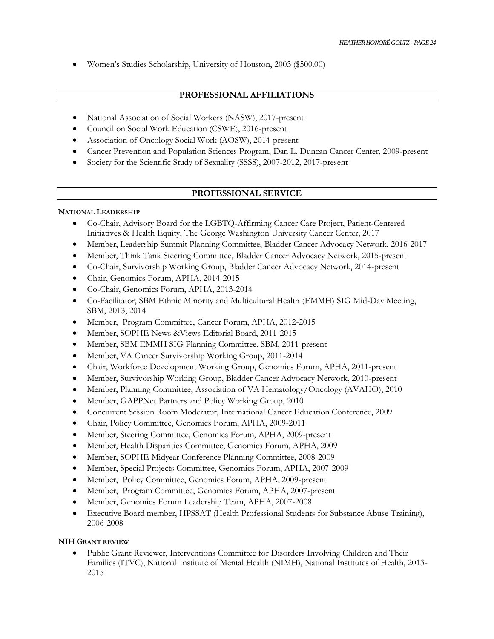Women's Studies Scholarship, University of Houston, 2003 (\$500.00)

# **PROFESSIONAL AFFILIATIONS**

- National Association of Social Workers (NASW), 2017-present
- Council on Social Work Education (CSWE), 2016-present
- Association of Oncology Social Work (AOSW), 2014-present
- Cancer Prevention and Population Sciences Program, Dan L. Duncan Cancer Center, 2009-present
- Society for the Scientific Study of Sexuality (SSSS), 2007-2012, 2017-present

# **PROFESSIONAL SERVICE**

# **NATIONAL LEADERSHIP**

- Co-Chair, Advisory Board for the LGBTQ-Affirming Cancer Care Project, Patient-Centered Initiatives & Health Equity, The George Washington University Cancer Center, 2017
- Member, Leadership Summit Planning Committee, Bladder Cancer Advocacy Network, 2016-2017
- Member, Think Tank Steering Committee, Bladder Cancer Advocacy Network, 2015-present
- Co-Chair, Survivorship Working Group, Bladder Cancer Advocacy Network, 2014-present
- Chair, Genomics Forum, APHA, 2014-2015
- Co-Chair, Genomics Forum, APHA, 2013-2014
- Co-Facilitator, SBM Ethnic Minority and Multicultural Health (EMMH) SIG Mid-Day Meeting, SBM, 2013, 2014
- Member, Program Committee, Cancer Forum, APHA, 2012-2015
- Member, SOPHE News &Views Editorial Board, 2011-2015
- Member, SBM EMMH SIG Planning Committee, SBM, 2011-present
- Member, VA Cancer Survivorship Working Group, 2011-2014
- Chair, Workforce Development Working Group, Genomics Forum, APHA, 2011-present
- Member, Survivorship Working Group, Bladder Cancer Advocacy Network, 2010-present
- Member, Planning Committee, Association of VA Hematology/Oncology (AVAHO), 2010
- Member, GAPPNet Partners and Policy Working Group, 2010
- Concurrent Session Room Moderator, International Cancer Education Conference, 2009
- Chair, Policy Committee, Genomics Forum, APHA, 2009-2011
- Member, Steering Committee, Genomics Forum, APHA, 2009-present
- Member, Health Disparities Committee, Genomics Forum, APHA, 2009
- Member, SOPHE Midyear Conference Planning Committee, 2008-2009
- Member, Special Projects Committee, Genomics Forum, APHA, 2007-2009
- Member, Policy Committee, Genomics Forum, APHA, 2009-present
- Member, Program Committee, Genomics Forum, APHA, 2007-present
- Member, Genomics Forum Leadership Team, APHA, 2007-2008
- Executive Board member, HPSSAT (Health Professional Students for Substance Abuse Training), 2006-2008

# **NIH GRANT REVIEW**

 Public Grant Reviewer, Interventions Committee for Disorders Involving Children and Their Families (ITVC), National Institute of Mental Health (NIMH), National Institutes of Health, 2013- 2015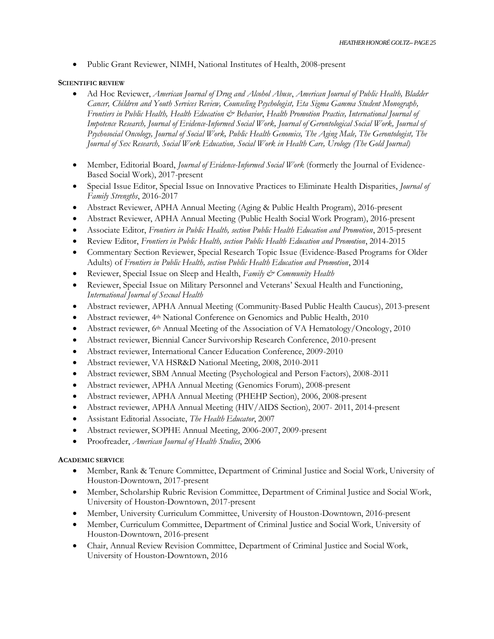Public Grant Reviewer, NIMH, National Institutes of Health, 2008-present

### **SCIENTIFIC REVIEW**

- Ad Hoc Reviewer, *American Journal of Drug and Alcohol Abuse*, *American Journal of Public Health, Bladder Cancer, Children and Youth Services Review, Counseling Psychologist, Eta Sigma Gamma Student Monograph, Frontiers in Public Health, Health Education & Behavior*, *Health Promotion Practice, International Journal of Impotence Research, Journal of Evidence-Informed Social Work, Journal of Gerontological Social Work, Journal of Psychosocial Oncology, Journal of Social Work, Public Health Genomics, The Aging Male, The Gerontologist, The Journal of Sex Research, Social Work Education, Social Work in Health Care, Urology (The Gold Journal)*
- Member, Editorial Board, *Journal of Evidence-Informed Social Work* (formerly the Journal of Evidence-Based Social Work), 2017-present
- Special Issue Editor, Special Issue on Innovative Practices to Eliminate Health Disparities, *Journal of Family Strengths*, 2016-2017
- Abstract Reviewer, APHA Annual Meeting (Aging & Public Health Program), 2016-present
- Abstract Reviewer, APHA Annual Meeting (Public Health Social Work Program), 2016-present
- Associate Editor, *Frontiers in Public Health, section Public Health Education and Promotion*, 2015-present
- Review Editor, *Frontiers in Public Health, section Public Health Education and Promotion*, 2014-2015
- Commentary Section Reviewer, Special Research Topic Issue (Evidence-Based Programs for Older Adults) of *Frontiers in Public Health, section Public Health Education and Promotion*, 2014
- Reviewer, Special Issue on Sleep and Health, *Family & Community Health*
- Reviewer, Special Issue on Military Personnel and Veterans' Sexual Health and Functioning, *International Journal of Sexual Health*
- Abstract reviewer, APHA Annual Meeting (Community-Based Public Health Caucus), 2013-present
- Abstract reviewer, 4th National Conference on Genomics and Public Health, 2010
- Abstract reviewer, 6th Annual Meeting of the Association of VA Hematology/Oncology, 2010
- Abstract reviewer, Biennial Cancer Survivorship Research Conference, 2010-present
- Abstract reviewer, International Cancer Education Conference, 2009-2010
- Abstract reviewer, VA HSR&D National Meeting, 2008, 2010-2011
- Abstract reviewer, SBM Annual Meeting (Psychological and Person Factors), 2008-2011
- Abstract reviewer, APHA Annual Meeting (Genomics Forum), 2008-present
- Abstract reviewer, APHA Annual Meeting (PHEHP Section), 2006, 2008-present
- Abstract reviewer, APHA Annual Meeting (HIV/AIDS Section), 2007- 2011, 2014-present
- Assistant Editorial Associate, *The Health Educator*, 2007
- Abstract reviewer, SOPHE Annual Meeting, 2006-2007, 2009-present
- Proofreader, *American Journal of Health Studies*, 2006

#### **ACADEMIC SERVICE**

- Member, Rank & Tenure Committee, Department of Criminal Justice and Social Work, University of Houston-Downtown, 2017-present
- Member, Scholarship Rubric Revision Committee, Department of Criminal Justice and Social Work, University of Houston-Downtown, 2017-present
- Member, University Curriculum Committee, University of Houston-Downtown, 2016-present
- Member, Curriculum Committee, Department of Criminal Justice and Social Work, University of Houston-Downtown, 2016-present
- Chair, Annual Review Revision Committee, Department of Criminal Justice and Social Work, University of Houston-Downtown, 2016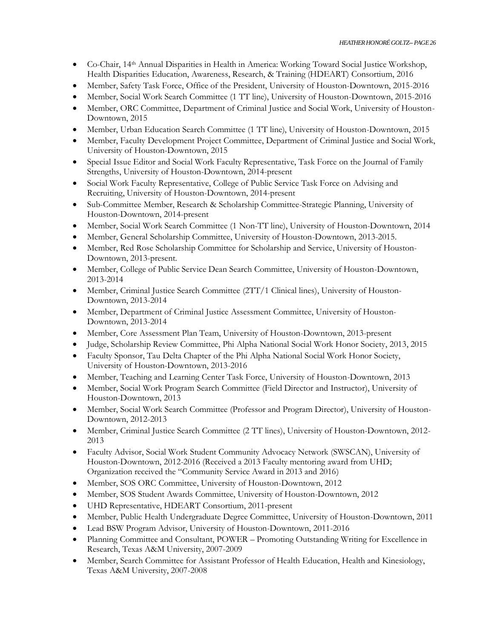- Co-Chair, 14th Annual Disparities in Health in America: Working Toward Social Justice Workshop, Health Disparities Education, Awareness, Research, & Training (HDEART) Consortium, 2016
- Member, Safety Task Force, Office of the President, University of Houston-Downtown, 2015-2016
- Member, Social Work Search Committee (1 TT line), University of Houston-Downtown, 2015-2016
- Member, ORC Committee, Department of Criminal Justice and Social Work, University of Houston-Downtown, 2015
- Member, Urban Education Search Committee (1 TT line), University of Houston-Downtown, 2015
- Member, Faculty Development Project Committee, Department of Criminal Justice and Social Work, University of Houston-Downtown, 2015
- Special Issue Editor and Social Work Faculty Representative, Task Force on the Journal of Family Strengths, University of Houston-Downtown, 2014-present
- Social Work Faculty Representative, College of Public Service Task Force on Advising and Recruiting, University of Houston-Downtown, 2014-present
- Sub-Committee Member, Research & Scholarship Committee-Strategic Planning, University of Houston-Downtown, 2014-present
- Member, Social Work Search Committee (1 Non-TT line), University of Houston-Downtown, 2014
- Member, General Scholarship Committee, University of Houston-Downtown, 2013-2015.
- Member, Red Rose Scholarship Committee for Scholarship and Service, University of Houston-Downtown, 2013-present.
- Member, College of Public Service Dean Search Committee, University of Houston-Downtown, 2013-2014
- Member, Criminal Justice Search Committee (2TT/1 Clinical lines), University of Houston-Downtown, 2013-2014
- Member, Department of Criminal Justice Assessment Committee, University of Houston-Downtown, 2013-2014
- Member, Core Assessment Plan Team, University of Houston-Downtown, 2013-present
- Judge, Scholarship Review Committee, Phi Alpha National Social Work Honor Society, 2013, 2015
- Faculty Sponsor, Tau Delta Chapter of the Phi Alpha National Social Work Honor Society, University of Houston-Downtown, 2013-2016
- Member, Teaching and Learning Center Task Force, University of Houston-Downtown, 2013
- Member, Social Work Program Search Committee (Field Director and Instructor), University of Houston-Downtown, 2013
- Member, Social Work Search Committee (Professor and Program Director), University of Houston-Downtown, 2012-2013
- Member, Criminal Justice Search Committee (2 TT lines), University of Houston-Downtown, 2012- 2013
- Faculty Advisor, Social Work Student Community Advocacy Network (SWSCAN), University of Houston-Downtown, 2012-2016 (Received a 2013 Faculty mentoring award from UHD; Organization received the "Community Service Award in 2013 and 2016)
- Member, SOS ORC Committee, University of Houston-Downtown, 2012
- Member, SOS Student Awards Committee, University of Houston-Downtown, 2012
- UHD Representative, HDEART Consortium, 2011-present
- Member, Public Health Undergraduate Degree Committee, University of Houston-Downtown, 2011
- Lead BSW Program Advisor, University of Houston-Downtown, 2011-2016
- Planning Committee and Consultant, POWER Promoting Outstanding Writing for Excellence in Research, Texas A&M University, 2007-2009
- Member, Search Committee for Assistant Professor of Health Education, Health and Kinesiology, Texas A&M University, 2007-2008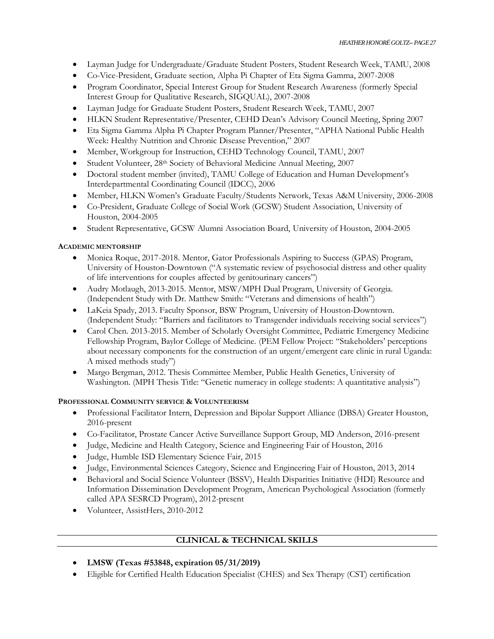- Layman Judge for Undergraduate/Graduate Student Posters, Student Research Week, TAMU, 2008
- Co-Vice-President, Graduate section, Alpha Pi Chapter of Eta Sigma Gamma, 2007-2008
- Program Coordinator, Special Interest Group for Student Research Awareness (formerly Special Interest Group for Qualitative Research, SIGQUAL), 2007-2008
- Layman Judge for Graduate Student Posters, Student Research Week, TAMU, 2007
- HLKN Student Representative/Presenter, CEHD Dean's Advisory Council Meeting, Spring 2007
- Eta Sigma Gamma Alpha Pi Chapter Program Planner/Presenter, "APHA National Public Health Week: Healthy Nutrition and Chronic Disease Prevention," 2007
- Member, Workgroup for Instruction, CEHD Technology Council, TAMU, 2007
- Student Volunteer, 28<sup>th</sup> Society of Behavioral Medicine Annual Meeting, 2007
- Doctoral student member (invited), TAMU College of Education and Human Development's Interdepartmental Coordinating Council (IDCC), 2006
- Member, HLKN Women's Graduate Faculty/Students Network, Texas A&M University, 2006-2008
- Co-President, Graduate College of Social Work (GCSW) Student Association, University of Houston, 2004-2005
- Student Representative, GCSW Alumni Association Board, University of Houston, 2004-2005

### **ACADEMIC MENTORSHIP**

- Monica Roque, 2017-2018. Mentor, Gator Professionals Aspiring to Success (GPAS) Program, University of Houston-Downtown ("A systematic review of psychosocial distress and other quality of life interventions for couples affected by genitourinary cancers")
- Audry Motlaugh, 2013-2015. Mentor, MSW/MPH Dual Program, University of Georgia. (Independent Study with Dr. Matthew Smith: "Veterans and dimensions of health")
- LaKeia Spady, 2013. Faculty Sponsor, BSW Program, University of Houston-Downtown. (Independent Study: "Barriers and facilitators to Transgender individuals receiving social services")
- Carol Chen. 2013-2015. Member of Scholarly Oversight Committee, Pediatric Emergency Medicine Fellowship Program, Baylor College of Medicine. (PEM Fellow Project: "Stakeholders' perceptions about necessary components for the construction of an urgent/emergent care clinic in rural Uganda: A mixed methods study")
- Margo Bergman, 2012. Thesis Committee Member, Public Health Genetics, University of Washington. (MPH Thesis Title: "Genetic numeracy in college students: A quantitative analysis")

# **PROFESSIONAL COMMUNITY SERVICE & VOLUNTEERISM**

- Professional Facilitator Intern, Depression and Bipolar Support Alliance (DBSA) Greater Houston, 2016-present
- Co-Facilitator, Prostate Cancer Active Surveillance Support Group, MD Anderson, 2016-present
- Judge, Medicine and Health Category, Science and Engineering Fair of Houston, 2016
- Judge, Humble ISD Elementary Science Fair, 2015
- Judge, Environmental Sciences Category, Science and Engineering Fair of Houston, 2013, 2014
- Behavioral and Social Science Volunteer (BSSV), Health Disparities Initiative (HDI) Resource and Information Dissemination Development Program, American Psychological Association (formerly called APA SESRCD Program), 2012-present
- Volunteer, AssistHers, 2010-2012

# **CLINICAL & TECHNICAL SKILLS**

- **LMSW (Texas #53848, expiration 05/31/2019)**
- Eligible for Certified Health Education Specialist (CHES) and Sex Therapy (CST) certification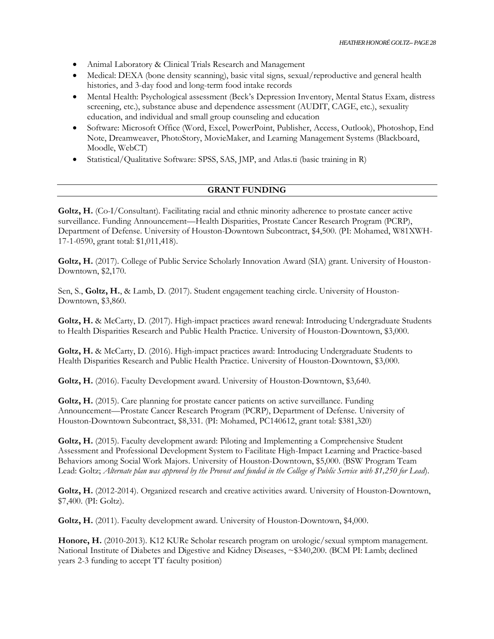- Animal Laboratory & Clinical Trials Research and Management
- Medical: DEXA (bone density scanning), basic vital signs, sexual/reproductive and general health histories, and 3-day food and long-term food intake records
- Mental Health: Psychological assessment (Beck's Depression Inventory, Mental Status Exam, distress screening, etc.), substance abuse and dependence assessment (AUDIT, CAGE, etc.), sexuality education, and individual and small group counseling and education
- Software: Microsoft Office (Word, Excel, PowerPoint, Publisher, Access, Outlook), Photoshop, End Note, Dreamweaver, PhotoStory, MovieMaker, and Learning Management Systems (Blackboard, Moodle, WebCT)
- Statistical/Qualitative Software: SPSS, SAS, JMP, and Atlas.ti (basic training in R)

#### **GRANT FUNDING**

Goltz, H. (Co-I/Consultant). Facilitating racial and ethnic minority adherence to prostate cancer active surveillance. Funding Announcement—Health Disparities, Prostate Cancer Research Program (PCRP), Department of Defense. University of Houston-Downtown Subcontract, \$4,500. (PI: Mohamed, W81XWH-17-1-0590, grant total: \$1,011,418).

Goltz, H. (2017). College of Public Service Scholarly Innovation Award (SIA) grant. University of Houston-Downtown, \$2,170.

Sen, S., **Goltz, H.**, & Lamb, D. (2017). Student engagement teaching circle. University of Houston-Downtown, \$3,860.

Goltz, H. & McCarty, D. (2017). High-impact practices award renewal: Introducing Undergraduate Students to Health Disparities Research and Public Health Practice. University of Houston-Downtown, \$3,000.

**Goltz, H.** & McCarty, D. (2016). High-impact practices award: Introducing Undergraduate Students to Health Disparities Research and Public Health Practice. University of Houston-Downtown, \$3,000.

**Goltz, H.** (2016). Faculty Development award. University of Houston-Downtown, \$3,640.

Goltz, H. (2015). Care planning for prostate cancer patients on active surveillance. Funding Announcement—Prostate Cancer Research Program (PCRP), Department of Defense. University of Houston-Downtown Subcontract, \$8,331. (PI: Mohamed, PC140612, grant total: \$381,320)

**Goltz, H.** (2015). Faculty development award: Piloting and Implementing a Comprehensive Student Assessment and Professional Development System to Facilitate High-Impact Learning and Practice-based Behaviors among Social Work Majors. University of Houston-Downtown, \$5,000. (BSW Program Team Lead: Goltz; *Alternate plan was approved by the Provost and funded in the College of Public Service with \$1,250 for Lead*).

Goltz, H. (2012-2014). Organized research and creative activities award. University of Houston-Downtown, \$7,400. (PI: Goltz).

**Goltz, H.** (2011). Faculty development award. University of Houston-Downtown, \$4,000.

**Honore, H.** (2010-2013). K12 KURe Scholar research program on urologic/sexual symptom management. National Institute of Diabetes and Digestive and Kidney Diseases, ~\$340,200. (BCM PI: Lamb; declined years 2-3 funding to accept TT faculty position)